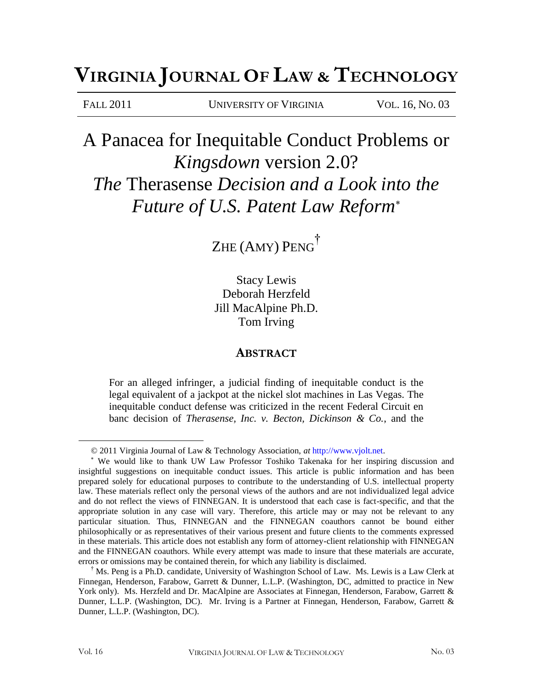# **VIRGINIA JOURNAL O<sup>F</sup> LAW & TECHNOLOGY**

FALL 2011 UNIVERSITY OF VIRGINIA VOL. 16, NO. 03

# A Panacea for Inequitable Conduct Problems or *Kingsdown* version 2.0? *The* Therasense *Decision and a Look into the Future of U.S. Patent Law Reform*

Zhe (Amy) Peng<sup>†</sup>

Stacy Lewis Deborah Herzfeld Jill MacAlpine Ph.D. Tom Irving

# **ABSTRACT**

For an alleged infringer, a judicial finding of inequitable conduct is the legal equivalent of a jackpot at the nickel slot machines in Las Vegas. The inequitable conduct defense was criticized in the recent Federal Circuit en banc decision of *Therasense, Inc. v. Becton, Dickinson & Co.*, and the

<sup>© 2011</sup> Virginia Journal of Law & Technology Association, *at* http://www.vjolt.net.

We would like to thank UW Law Professor Toshiko Takenaka for her inspiring discussion and insightful suggestions on inequitable conduct issues. This article is public information and has been prepared solely for educational purposes to contribute to the understanding of U.S. intellectual property law. These materials reflect only the personal views of the authors and are not individualized legal advice and do not reflect the views of FINNEGAN. It is understood that each case is fact-specific, and that the appropriate solution in any case will vary. Therefore, this article may or may not be relevant to any particular situation. Thus, FINNEGAN and the FINNEGAN coauthors cannot be bound either philosophically or as representatives of their various present and future clients to the comments expressed in these materials. This article does not establish any form of attorney-client relationship with FINNEGAN and the FINNEGAN coauthors. While every attempt was made to insure that these materials are accurate, errors or omissions may be contained therein, for which any liability is disclaimed.

<sup>†</sup> Ms. Peng is a Ph.D. candidate, University of Washington School of Law. Ms. Lewis is a Law Clerk at Finnegan, Henderson, Farabow, Garrett & Dunner, L.L.P. (Washington, DC, admitted to practice in New York only). Ms. Herzfeld and Dr. MacAlpine are Associates at Finnegan, Henderson, Farabow, Garrett & Dunner, L.L.P. (Washington, DC). Mr. Irving is a Partner at Finnegan, Henderson, Farabow, Garrett & Dunner, L.L.P. (Washington, DC).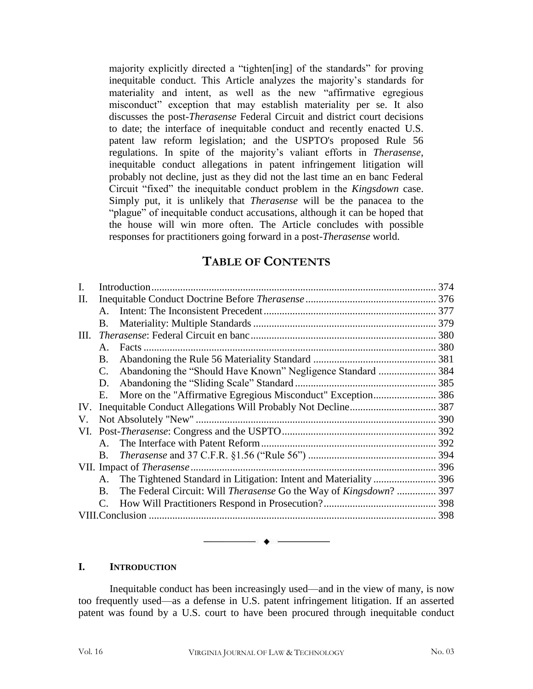majority explicitly directed a "tighten[ing] of the standards" for proving inequitable conduct. This Article analyzes the majority's standards for materiality and intent, as well as the new "affirmative egregious misconduct" exception that may establish materiality per se. It also discusses the post-*Therasense* Federal Circuit and district court decisions to date; the interface of inequitable conduct and recently enacted U.S. patent law reform legislation; and the USPTO's proposed Rule 56 regulations. In spite of the majority's valiant efforts in *Therasense*, inequitable conduct allegations in patent infringement litigation will probably not decline, just as they did not the last time an en banc Federal Circuit "fixed" the inequitable conduct problem in the *Kingsdown* case. Simply put, it is unlikely that *Therasense* will be the panacea to the "plague" of inequitable conduct accusations, although it can be hoped that the house will win more often. The Article concludes with possible responses for practitioners going forward in a post-*Therasense* world.

# **TABLE OF CONTENTS**

|     | Introduction                     |                                                                                   | 374 |
|-----|----------------------------------|-----------------------------------------------------------------------------------|-----|
| П.  |                                  |                                                                                   |     |
|     | $\mathbf{A}$                     |                                                                                   |     |
|     | B.                               |                                                                                   |     |
| Ш.  |                                  |                                                                                   |     |
|     | A.                               | Facts                                                                             |     |
|     | B.                               |                                                                                   |     |
|     | C.                               |                                                                                   |     |
|     | D.                               |                                                                                   |     |
|     | Е.                               |                                                                                   |     |
| IV. |                                  |                                                                                   |     |
| V.  |                                  |                                                                                   |     |
| VI. |                                  |                                                                                   | 392 |
|     | $A_{\cdot}$                      |                                                                                   |     |
|     | B.                               |                                                                                   |     |
|     | VII. Impact of <i>Therasense</i> |                                                                                   |     |
|     | A.                               |                                                                                   |     |
|     | $\mathbf{B}$ .                   | The Federal Circuit: Will <i>Therasense</i> Go the Way of <i>Kingsdown</i> ?  397 |     |
|     |                                  |                                                                                   |     |
|     | VIII.Conclusion                  |                                                                                   |     |
|     |                                  |                                                                                   |     |

### **I. INTRODUCTION**

Inequitable conduct has been increasingly used—and in the view of many, is now too frequently used—as a defense in U.S. patent infringement litigation. If an asserted patent was found by a U.S. court to have been procured through inequitable conduct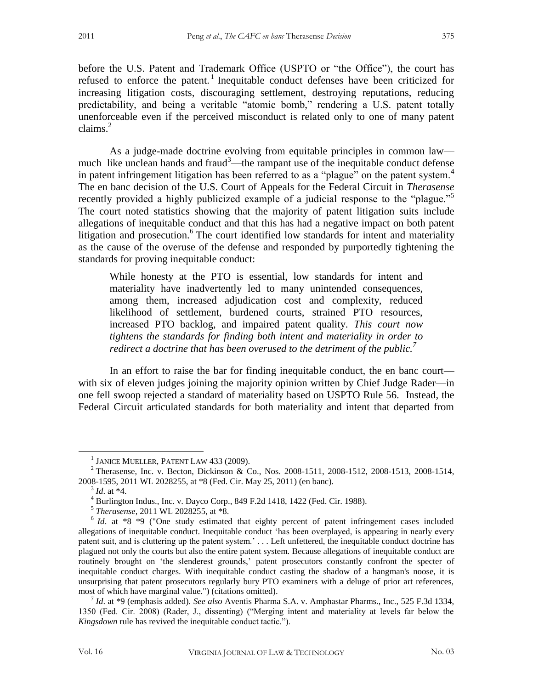before the U.S. Patent and Trademark Office (USPTO or "the Office"), the court has refused to enforce the patent.<sup>1</sup> Inequitable conduct defenses have been criticized for increasing litigation costs, discouraging settlement, destroying reputations, reducing predictability, and being a veritable "atomic bomb," rendering a U.S. patent totally unenforceable even if the perceived misconduct is related only to one of many patent claims. $^{2}$ 

As a judge-made doctrine evolving from equitable principles in common law much like unclean hands and fraud<sup>3</sup>—the rampant use of the inequitable conduct defense in patent infringement litigation has been referred to as a "plague" on the patent system.<sup>4</sup> The en banc decision of the U.S. Court of Appeals for the Federal Circuit in *Therasense* recently provided a highly publicized example of a judicial response to the "plague."<sup>5</sup> The court noted statistics showing that the majority of patent litigation suits include allegations of inequitable conduct and that this has had a negative impact on both patent litigation and prosecution.<sup>6</sup> The court identified low standards for intent and materiality as the cause of the overuse of the defense and responded by purportedly tightening the standards for proving inequitable conduct:

While honesty at the PTO is essential, low standards for intent and materiality have inadvertently led to many unintended consequences, among them, increased adjudication cost and complexity, reduced likelihood of settlement, burdened courts, strained PTO resources, increased PTO backlog, and impaired patent quality. *This court now tightens the standards for finding both intent and materiality in order to redirect a doctrine that has been overused to the detriment of the public.<sup>7</sup>*

In an effort to raise the bar for finding inequitable conduct, the en banc court with six of eleven judges joining the majority opinion written by Chief Judge Rader—in one fell swoop rejected a standard of materiality based on USPTO Rule 56. Instead, the Federal Circuit articulated standards for both materiality and intent that departed from

<sup>&</sup>lt;sup>1</sup> JANICE MUELLER, PATENT LAW 433 (2009).

<sup>2</sup> Therasense, Inc. v. Becton, Dickinson & Co., Nos. 2008-1511, 2008-1512, 2008-1513, 2008-1514, 2008-1595, 2011 WL 2028255, at \*8 (Fed. Cir. May 25, 2011) (en banc).

<sup>3</sup> *Id*. at \*4.

<sup>4</sup> Burlington Indus., Inc. v. Dayco Corp., 849 F.2d 1418, 1422 (Fed. Cir. 1988).

<sup>5</sup> *Therasense*, 2011 WL 2028255, at \*8.

<sup>&</sup>lt;sup>6</sup> *Id*. at \*8–\*9 ("One study estimated that eighty percent of patent infringement cases included allegations of inequitable conduct. Inequitable conduct 'has been overplayed, is appearing in nearly every patent suit, and is cluttering up the patent system.' . . . Left unfettered, the inequitable conduct doctrine has plagued not only the courts but also the entire patent system. Because allegations of inequitable conduct are routinely brought on 'the slenderest grounds,' patent prosecutors constantly confront the specter of inequitable conduct charges. With inequitable conduct casting the shadow of a hangman's noose, it is unsurprising that patent prosecutors regularly bury PTO examiners with a deluge of prior art references, most of which have marginal value.") (citations omitted).

<sup>7</sup> *Id*. at \*9 (emphasis added). *See also* Aventis Pharma S.A. v. Amphastar Pharms., Inc., 525 F.3d 1334, 1350 (Fed. Cir. 2008) (Rader, J., dissenting) ("Merging intent and materiality at levels far below the *Kingsdown* rule has revived the inequitable conduct tactic.").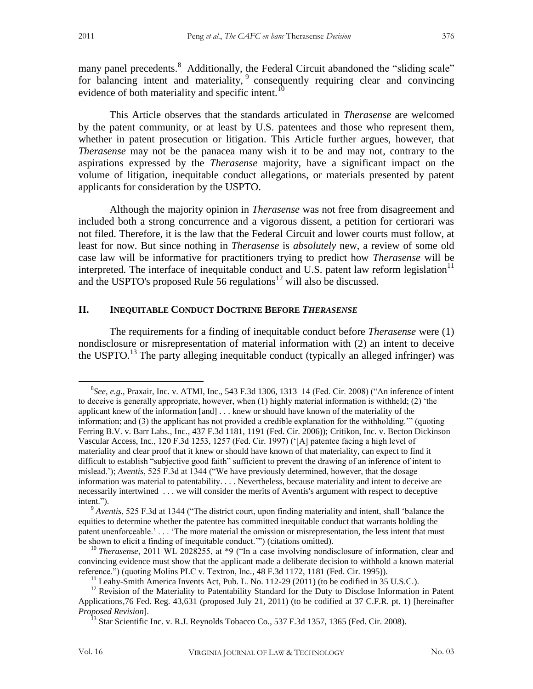many panel precedents.<sup>8</sup> Additionally, the Federal Circuit abandoned the "sliding scale" for balancing intent and materiality,  $9$  consequently requiring clear and convincing evidence of both materiality and specific intent.<sup>10</sup>

This Article observes that the standards articulated in *Therasense* are welcomed by the patent community, or at least by U.S. patentees and those who represent them, whether in patent prosecution or litigation. This Article further argues, however, that *Therasense* may not be the panacea many wish it to be and may not, contrary to the aspirations expressed by the *Therasense* majority, have a significant impact on the volume of litigation, inequitable conduct allegations, or materials presented by patent applicants for consideration by the USPTO.

Although the majority opinion in *Therasense* was not free from disagreement and included both a strong concurrence and a vigorous dissent, a petition for certiorari was not filed. Therefore, it is the law that the Federal Circuit and lower courts must follow, at least for now. But since nothing in *Therasense* is *absolutely* new, a review of some old case law will be informative for practitioners trying to predict how *Therasense* will be interpreted. The interface of inequitable conduct and U.S. patent law reform legislation $11$ and the USPTO's proposed Rule 56 regulations<sup>12</sup> will also be discussed.

#### **II. INEQUITABLE CONDUCT DOCTRINE BEFORE** *THERASENSE*

The requirements for a finding of inequitable conduct before *Therasense* were (1) nondisclosure or misrepresentation of material information with (2) an intent to deceive the USPTO.<sup>13</sup> The party alleging inequitable conduct (typically an alleged infringer) was

<sup>8</sup> *See, e.g.*, Praxair, Inc. v. ATMI, Inc., 543 F.3d 1306, 1313–14 (Fed. Cir. 2008) ("An inference of intent to deceive is generally appropriate, however, when (1) highly material information is withheld; (2) 'the applicant knew of the information [and] . . . knew or should have known of the materiality of the information; and (3) the applicant has not provided a credible explanation for the withholding.'" (quoting Ferring B.V. v. Barr Labs., Inc*.*, 437 F.3d 1181, 1191 (Fed. Cir. 2006)); Critikon, Inc. v. Becton Dickinson Vascular Access, Inc*.*, 120 F.3d 1253, 1257 (Fed. Cir. 1997) ('[A] patentee facing a high level of materiality and clear proof that it knew or should have known of that materiality, can expect to find it difficult to establish "subjective good faith" sufficient to prevent the drawing of an inference of intent to mislead.'); *Aventis*, 525 F.3d at 1344 ("We have previously determined, however, that the dosage information was material to patentability. . . . Nevertheless, because materiality and intent to deceive are necessarily intertwined . . . we will consider the merits of Aventis's argument with respect to deceptive intent.").

<sup>9</sup> *Aventis*, 525 F.3d at 1344 ("The district court, upon finding materiality and intent, shall 'balance the equities to determine whether the patentee has committed inequitable conduct that warrants holding the patent unenforceable.' . . . 'The more material the omission or misrepresentation, the less intent that must be shown to elicit a finding of inequitable conduct.'") (citations omitted).

<sup>&</sup>lt;sup>10</sup> *Therasense*, 2011 WL 2028255, at \*9 ("In a case involving nondisclosure of information, clear and convincing evidence must show that the applicant made a deliberate decision to withhold a known material reference.") (quoting Molins PLC v. Textron, Inc*.*, 48 F.3d 1172, 1181 (Fed. Cir. 1995)).

<sup>&</sup>lt;sup>11</sup> Leahy-Smith America Invents Act, Pub. L. No. 112-29 (2011) (to be codified in 35 U.S.C.).

 $12$  Revision of the Materiality to Patentability Standard for the Duty to Disclose Information in Patent Applications,76 Fed. Reg. 43,631 (proposed July 21, 2011) (to be codified at 37 C.F.R. pt. 1) [hereinafter *Proposed Revision*].

<sup>&</sup>lt;sup>13</sup> Star Scientific Inc. v. R.J. Reynolds Tobacco Co., 537 F.3d 1357, 1365 (Fed. Cir. 2008).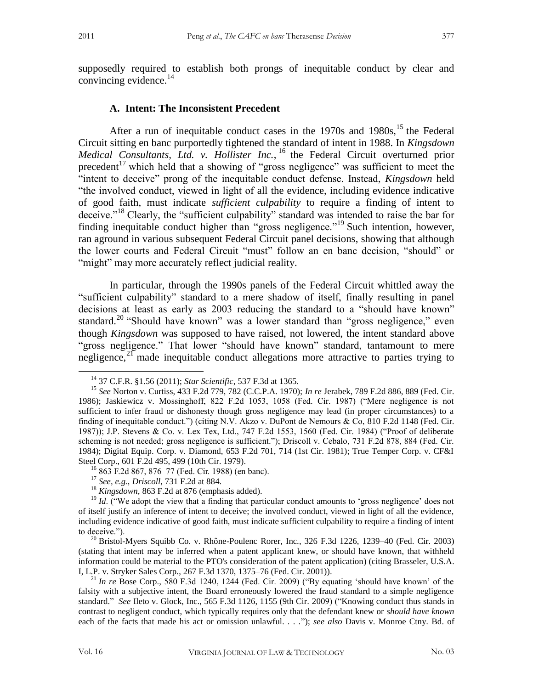supposedly required to establish both prongs of inequitable conduct by clear and convincing evidence. $^{14}$ 

#### **A. Intent: The Inconsistent Precedent**

After a run of inequitable conduct cases in the  $1970s$  and  $1980s$ ,<sup>15</sup> the Federal Circuit sitting en banc purportedly tightened the standard of intent in 1988. In *Kingsdown Medical Consultants, Ltd. v. Hollister Inc.*, <sup>16</sup> the Federal Circuit overturned prior precedent<sup>17</sup> which held that a showing of "gross negligence" was sufficient to meet the "intent to deceive" prong of the inequitable conduct defense. Instead, *Kingsdown* held "the involved conduct, viewed in light of all the evidence, including evidence indicative of good faith, must indicate *sufficient culpability* to require a finding of intent to deceive."<sup>18</sup> Clearly, the "sufficient culpability" standard was intended to raise the bar for finding inequitable conduct higher than "gross negligence."<sup>19</sup> Such intention, however, ran aground in various subsequent Federal Circuit panel decisions, showing that although the lower courts and Federal Circuit "must" follow an en banc decision, "should" or "might" may more accurately reflect judicial reality.

In particular, through the 1990s panels of the Federal Circuit whittled away the "sufficient culpability" standard to a mere shadow of itself, finally resulting in panel decisions at least as early as 2003 reducing the standard to a "should have known" standard.<sup>20</sup> "Should have known" was a lower standard than "gross negligence," even though *Kingsdown* was supposed to have raised, not lowered, the intent standard above "gross negligence." That lower "should have known" standard, tantamount to mere negligence,<sup>21</sup> made inequitable conduct allegations more attractive to parties trying to

<sup>14</sup> 37 C.F.R. §1.56 (2011); *Star Scientific*, 537 F.3d at 1365.

<sup>15</sup> *See* Norton v. Curtiss, 433 F.2d 779, 782 (C.C.P.A. 1970); *In re* Jerabek, 789 F.2d 886, 889 (Fed. Cir. 1986); Jaskiewicz v. Mossinghoff, 822 F.2d 1053, 1058 (Fed. Cir. 1987) ("Mere negligence is not sufficient to infer fraud or dishonesty though gross negligence may lead (in proper circumstances) to a finding of inequitable conduct.") (citing N.V. Akzo v. DuPont de Nemours & Co, 810 F.2d 1148 (Fed. Cir. 1987)); J.P. Stevens & Co. v. Lex Tex, Ltd., 747 F.2d 1553, 1560 (Fed. Cir. 1984) ("Proof of deliberate scheming is not needed; gross negligence is sufficient."); Driscoll v. Cebalo, 731 F.2d 878, 884 (Fed. Cir. 1984); Digital Equip. Corp. v. Diamond, 653 F.2d 701, 714 (1st Cir. 1981); True Temper Corp. v. CF&I Steel Corp., 601 F.2d 495, 499 (10th Cir. 1979).

<sup>16</sup> 863 F.2d 867, 876–77 (Fed. Cir. 1988) (en banc).

<sup>17</sup> *See, e.g.*, *Driscoll*, 731 F.2d at 884*.*

<sup>18</sup> *Kingsdown,* 863 F.2d at 876 (emphasis added).

<sup>&</sup>lt;sup>19</sup> *Id.* ("We adopt the view that a finding that particular conduct amounts to 'gross negligence' does not of itself justify an inference of intent to deceive; the involved conduct, viewed in light of all the evidence, including evidence indicative of good faith, must indicate sufficient culpability to require a finding of intent to deceive.").

 $^{20}$  Bristol-Myers Squibb Co. v. Rhône-Poulenc Rorer, Inc., 326 F.3d 1226, 1239-40 (Fed. Cir. 2003) (stating that intent may be inferred when a patent applicant knew, or should have known, that withheld information could be material to the PTO's consideration of the patent application) (citing Brasseler, U.S.A. I, L.P. v. Stryker Sales Corp., 267 F.3d 1370, 1375–76 (Fed. Cir. 2001)).

<sup>21</sup> *In re* Bose Corp., 580 F.3d 1240, 1244 (Fed. Cir. 2009) ("By equating 'should have known' of the falsity with a subjective intent, the Board erroneously lowered the fraud standard to a simple negligence standard." *See* Ileto v. Glock, Inc., 565 F.3d 1126, 1155 (9th Cir. 2009) ("Knowing conduct thus stands in contrast to negligent conduct, which typically requires only that the defendant knew or *should have known* each of the facts that made his act or omission unlawful. . . ."); *see also* Davis v. Monroe Ctny. Bd. of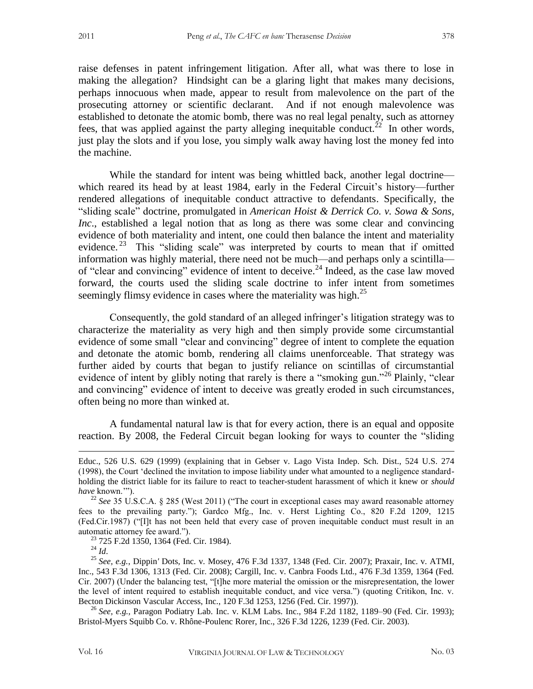raise defenses in patent infringement litigation. After all, what was there to lose in making the allegation? Hindsight can be a glaring light that makes many decisions, perhaps innocuous when made, appear to result from malevolence on the part of the prosecuting attorney or scientific declarant. And if not enough malevolence was established to detonate the atomic bomb, there was no real legal penalty, such as attorney fees, that was applied against the party alleging inequitable conduct.<sup>22</sup> In other words, just play the slots and if you lose, you simply walk away having lost the money fed into the machine.

While the standard for intent was being whittled back, another legal doctrine which reared its head by at least 1984, early in the Federal Circuit's history—further rendered allegations of inequitable conduct attractive to defendants. Specifically, the "sliding scale" doctrine, promulgated in *American Hoist & Derrick Co. v. Sowa & Sons, Inc*., established a legal notion that as long as there was some clear and convincing evidence of both materiality and intent, one could then balance the intent and materiality evidence.<sup>23</sup> This "sliding scale" was interpreted by courts to mean that if omitted information was highly material, there need not be much—and perhaps only a scintilla of "clear and convincing" evidence of intent to deceive.<sup>24</sup> Indeed, as the case law moved forward, the courts used the sliding scale doctrine to infer intent from sometimes seemingly flimsy evidence in cases where the materiality was high.<sup>25</sup>

Consequently, the gold standard of an alleged infringer's litigation strategy was to characterize the materiality as very high and then simply provide some circumstantial evidence of some small "clear and convincing" degree of intent to complete the equation and detonate the atomic bomb, rendering all claims unenforceable. That strategy was further aided by courts that began to justify reliance on scintillas of circumstantial evidence of intent by glibly noting that rarely is there a "smoking gun."<sup>26</sup> Plainly, "clear and convincing" evidence of intent to deceive was greatly eroded in such circumstances, often being no more than winked at.

A fundamental natural law is that for every action, there is an equal and opposite reaction. By 2008, the Federal Circuit began looking for ways to counter the "sliding

<sup>24</sup> *Id*.

Educ., 526 U.S. 629 (1999) (explaining that in Gebser v. Lago Vista Indep. Sch. Dist., 524 U.S. 274 (1998), the Court 'declined the invitation to impose liability under what amounted to a negligence standardholding the district liable for its failure to react to teacher-student harassment of which it knew or *should have* known.'").

<sup>&</sup>lt;sup>22</sup> See 35 U.S.C.A. § 285 (West 2011) ("The court in exceptional cases may award reasonable attorney fees to the prevailing party."); Gardco Mfg., Inc. v. Herst Lighting Co., 820 F.2d 1209, 1215 (Fed.Cir.1987) ("[I]t has not been held that every case of proven inequitable conduct must result in an automatic attorney fee award.").

<sup>&</sup>lt;sup>23</sup> 725 F.2d 1350, 1364 (Fed. Cir. 1984).

<sup>25</sup> *See, e.g.*, Dippin*'* Dots*,* Inc*.* v*.* Mosey, 476 F.3d 1337, 1348 (Fed. Cir. 2007); Praxair, Inc. v. ATMI, Inc., 543 F.3d 1306, 1313 (Fed. Cir. 2008); Cargill, Inc. v. Canbra Foods Ltd., 476 F.3d 1359, 1364 (Fed. Cir. 2007) (Under the balancing test, "[t]he more material the omission or the misrepresentation, the lower the level of intent required to establish inequitable conduct, and vice versa.") (quoting Critikon, Inc. v. Becton Dickinson Vascular Access, Inc., 120 F.3d 1253, 1256 (Fed. Cir. 1997)).

<sup>26</sup> *See, e.g.,* Paragon Podiatry Lab. Inc. v. KLM Labs. Inc., 984 F.2d 1182, 1189–90 (Fed. Cir. 1993); Bristol-Myers Squibb Co. v. Rhône-Poulenc Rorer, Inc., 326 F.3d 1226, 1239 (Fed. Cir. 2003).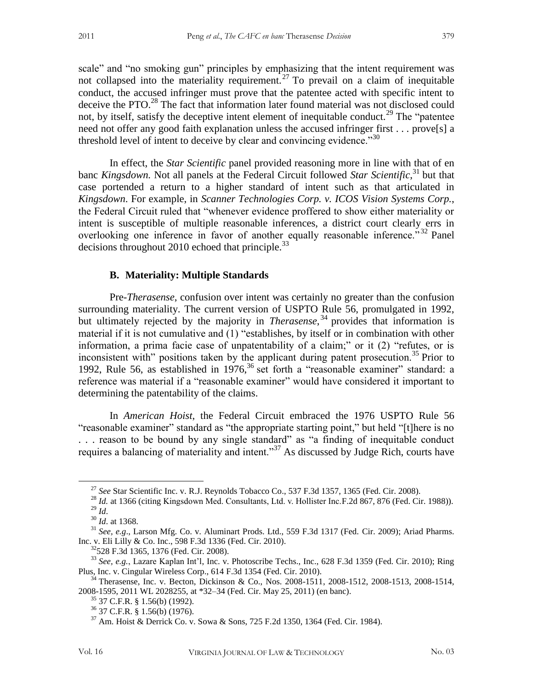scale" and "no smoking gun" principles by emphasizing that the intent requirement was not collapsed into the materiality requirement.<sup>27</sup> To prevail on a claim of inequitable conduct, the accused infringer must prove that the patentee acted with specific intent to deceive the PTO.<sup>28</sup> The fact that information later found material was not disclosed could not, by itself, satisfy the deceptive intent element of inequitable conduct.<sup>29</sup> The "patentee" need not offer any good faith explanation unless the accused infringer first . . . prove[s] a threshold level of intent to deceive by clear and convincing evidence.<sup>30</sup>

In effect, the *Star Scientific* panel provided reasoning more in line with that of en banc *Kingsdown.* Not all panels at the Federal Circuit followed *Star Scientific*, <sup>31</sup> but that case portended a return to a higher standard of intent such as that articulated in *Kingsdown*. For example, in *Scanner Technologies Corp. v. ICOS Vision Systems Corp.*, the Federal Circuit ruled that "whenever evidence proffered to show either materiality or intent is susceptible of multiple reasonable inferences, a district court clearly errs in overlooking one inference in favor of another equally reasonable inference.<sup>32</sup> Panel decisions throughout 2010 echoed that principle. $33$ 

#### **B. Materiality: Multiple Standards**

Pre-*Therasense*, confusion over intent was certainly no greater than the confusion surrounding materiality. The current version of USPTO Rule 56, promulgated in 1992, but ultimately rejected by the majority in *Therasense*, <sup>34</sup> provides that information is material if it is not cumulative and (1) "establishes, by itself or in combination with other information, a prima facie case of unpatentability of a claim;" or it (2) "refutes, or is inconsistent with" positions taken by the applicant during patent prosecution.<sup>35</sup> Prior to 1992, Rule 56, as established in  $1976<sup>36</sup>$  set forth a "reasonable examiner" standard: a reference was material if a "reasonable examiner" would have considered it important to determining the patentability of the claims.

In *American Hoist*, the Federal Circuit embraced the 1976 USPTO Rule 56 "reasonable examiner" standard as "the appropriate starting point," but held "[t]here is no . . . reason to be bound by any single standard" as "a finding of inequitable conduct requires a balancing of materiality and intent."<sup>37</sup> As discussed by Judge Rich, courts have

<sup>27</sup> *See* Star Scientific Inc. v. R.J. Reynolds Tobacco Co., 537 F.3d 1357, 1365 (Fed. Cir. 2008).

<sup>&</sup>lt;sup>28</sup> *Id.* at 1366 (citing Kingsdown Med. Consultants, Ltd. v. Hollister Inc.F.2d 867, 876 (Fed. Cir. 1988)).  $^{29}$  *Id.* 

<sup>30</sup> *Id*. at 1368.

<sup>31</sup> *See, e.g*., Larson Mfg. Co. v. Aluminart Prods. Ltd., 559 F.3d 1317 (Fed. Cir. 2009); Ariad Pharms. Inc. v. Eli Lilly & Co. Inc., 598 F.3d 1336 (Fed. Cir. 2010).

<sup>32</sup>528 F.3d 1365, 1376 (Fed. Cir. 2008).

<sup>33</sup> *See, e.g.*, Lazare Kaplan Int'l, Inc. v. Photoscribe Techs., Inc., 628 F.3d 1359 (Fed. Cir. 2010); Ring Plus, Inc. v. Cingular Wireless Corp., 614 F.3d 1354 (Fed. Cir. 2010).

<sup>34</sup> Therasense, Inc. v. Becton, Dickinson & Co., Nos. 2008-1511, 2008-1512, 2008-1513, 2008-1514, 2008-1595, 2011 WL 2028255, at \*32–34 (Fed. Cir. May 25, 2011) (en banc).

 $35$  37 C.F.R. § 1.56(b) (1992).

<sup>36</sup> 37 C.F.R. § 1.56(b) (1976).

<sup>37</sup> Am. Hoist & Derrick Co. v. Sowa & Sons, 725 F.2d 1350, 1364 (Fed. Cir. 1984).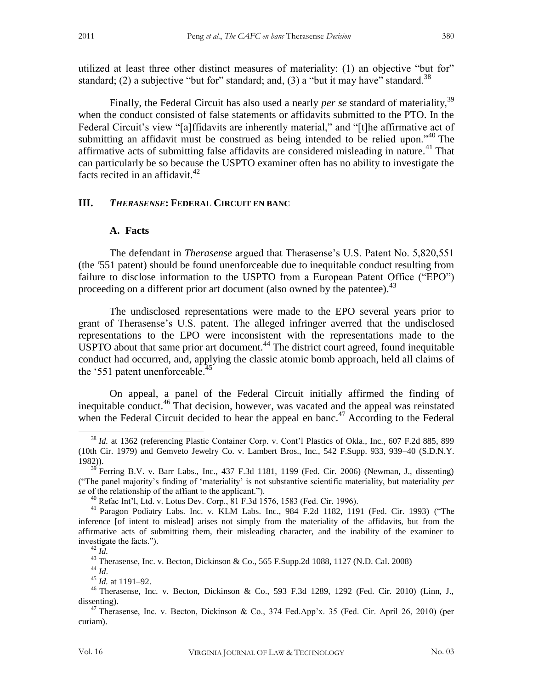utilized at least three other distinct measures of materiality: (1) an objective "but for" standard; (2) a subjective "but for" standard; and, (3) a "but it may have" standard.<sup>38</sup>

Finally, the Federal Circuit has also used a nearly *per se* standard of materiality,<sup>39</sup> when the conduct consisted of false statements or affidavits submitted to the PTO. In the Federal Circuit's view "[a]ffidavits are inherently material," and "[t]he affirmative act of submitting an affidavit must be construed as being intended to be relied upon.<sup> $340$ </sup> The affirmative acts of submitting false affidavits are considered misleading in nature.<sup>41</sup> That can particularly be so because the USPTO examiner often has no ability to investigate the facts recited in an affidavit. $42$ 

#### **III.** *THERASENSE***: FEDERAL CIRCUIT EN BANC**

#### **A. Facts**

The defendant in *Therasense* argued that Therasense's U.S. Patent No. 5,820,551 (the *'*551 patent) should be found unenforceable due to inequitable conduct resulting from failure to disclose information to the USPTO from a European Patent Office ("EPO") proceeding on a different prior art document (also owned by the patentee).<sup>43</sup>

The undisclosed representations were made to the EPO several years prior to grant of Therasense's U.S. patent. The alleged infringer averred that the undisclosed representations to the EPO were inconsistent with the representations made to the  $USPTO$  about that same prior art document.<sup>44</sup> The district court agreed, found inequitable conduct had occurred, and, applying the classic atomic bomb approach, held all claims of the '551 patent unenforceable.<sup>45</sup>

On appeal, a panel of the Federal Circuit initially affirmed the finding of inequitable conduct.<sup>46</sup> That decision, however, was vacated and the appeal was reinstated when the Federal Circuit decided to hear the appeal en banc.<sup>47</sup> According to the Federal

<sup>38</sup> *Id.* at 1362 (referencing Plastic Container Corp. v. Cont'l Plastics of Okla., Inc., 607 F.2d 885, 899 (10th Cir. 1979) and Gemveto Jewelry Co. v. Lambert Bros., Inc., 542 F.Supp. 933, 939–40 (S.D.N.Y. 1982)).

 $39$  Ferring B.V. v. Barr Labs., Inc., 437 F.3d 1181, 1199 (Fed. Cir. 2006) (Newman, J., dissenting) ("The panel majority's finding of 'materiality' is not substantive scientific materiality, but materiality *per se* of the relationship of the affiant to the applicant.").

<sup>40</sup> Refac Int'l, Ltd. v. Lotus Dev. Corp., 81 F.3d 1576, 1583 (Fed. Cir. 1996).

<sup>41</sup> Paragon Podiatry Labs. Inc. v. KLM Labs. Inc., 984 F.2d 1182, 1191 (Fed. Cir. 1993) ("The inference [of intent to mislead] arises not simply from the materiality of the affidavits, but from the affirmative acts of submitting them, their misleading character, and the inability of the examiner to investigate the facts.").

 $^{42}$   $\overline{Id}$ .

<sup>43</sup> Therasense, Inc. v. Becton, Dickinson & Co., 565 F.Supp.2d 1088, 1127 (N.D. Cal. 2008)

<sup>44</sup> *Id*.

<sup>45</sup> *Id.* at 1191–92.

<sup>46</sup> Therasense, Inc. v. Becton, Dickinson & Co., 593 F.3d 1289, 1292 (Fed. Cir. 2010) (Linn, J., dissenting).

 $47$  Therasense, Inc. v. Becton, Dickinson & Co., 374 Fed.App'x. 35 (Fed. Cir. April 26, 2010) (per curiam).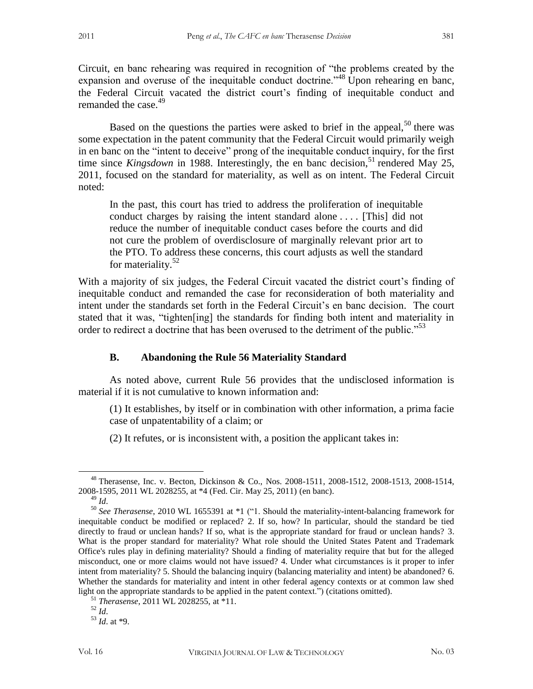Circuit, en banc rehearing was required in recognition of "the problems created by the expansion and overuse of the inequitable conduct doctrine.<sup>148</sup> Upon rehearing en banc, the Federal Circuit vacated the district court's finding of inequitable conduct and

Based on the questions the parties were asked to brief in the appeal,  $50$  there was some expectation in the patent community that the Federal Circuit would primarily weigh in en banc on the "intent to deceive" prong of the inequitable conduct inquiry, for the first time since *Kingsdown* in 1988. Interestingly, the en banc decision,<sup>51</sup> rendered May 25, 2011, focused on the standard for materiality, as well as on intent. The Federal Circuit noted:

In the past, this court has tried to address the proliferation of inequitable conduct charges by raising the intent standard alone . . . . [This] did not reduce the number of inequitable conduct cases before the courts and did not cure the problem of overdisclosure of marginally relevant prior art to the PTO. To address these concerns, this court adjusts as well the standard for materiality.<sup>52</sup>

With a majority of six judges, the Federal Circuit vacated the district court's finding of inequitable conduct and remanded the case for reconsideration of both materiality and intent under the standards set forth in the Federal Circuit's en banc decision. The court stated that it was, "tighten[ing] the standards for finding both intent and materiality in order to redirect a doctrine that has been overused to the detriment of the public."<sup>53</sup>

### **B. Abandoning the Rule 56 Materiality Standard**

As noted above, current Rule 56 provides that the undisclosed information is material if it is not cumulative to known information and:

(1) It establishes, by itself or in combination with other information, a prima facie case of unpatentability of a claim; or

(2) It refutes, or is inconsistent with, a position the applicant takes in:

 $\overline{a}$ 

remanded the case.<sup>49</sup>

<sup>48</sup> Therasense, Inc. v. Becton, Dickinson & Co., Nos. 2008-1511, 2008-1512, 2008-1513, 2008-1514, 2008-1595, 2011 WL 2028255, at \*4 (Fed. Cir. May 25, 2011) (en banc).

<sup>49</sup> *Id*.

<sup>50</sup> *See Therasense*, 2010 WL 1655391 at \*1 ("1. Should the materiality-intent-balancing framework for inequitable conduct be modified or replaced? 2. If so, how? In particular, should the standard be tied directly to fraud or unclean hands? If so, what is the appropriate standard for fraud or unclean hands? 3. What is the proper standard for materiality? What role should the United States Patent and Trademark Office's rules play in defining materiality? Should a finding of materiality require that but for the alleged misconduct, one or more claims would not have issued? 4. Under what circumstances is it proper to infer intent from materiality? 5. Should the balancing inquiry (balancing materiality and intent) be abandoned? 6. Whether the standards for materiality and intent in other federal agency contexts or at common law shed light on the appropriate standards to be applied in the patent context.") (citations omitted).

<sup>51</sup> *Therasense*, 2011 WL 2028255, at \*11.

<sup>52</sup> *Id*.

<sup>53</sup> *Id*. at \*9.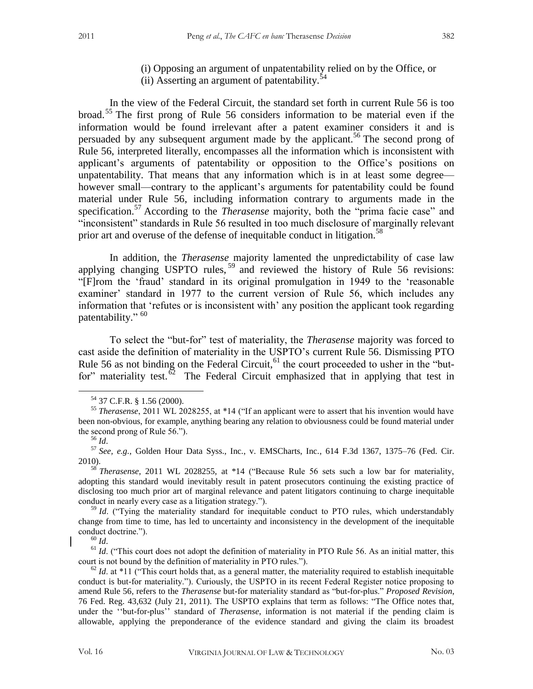(i) Opposing an argument of unpatentability relied on by the Office, or (ii) Asserting an argument of patentability.<sup>54</sup>

In the view of the Federal Circuit, the standard set forth in current Rule 56 is too broad.<sup>55</sup> The first prong of Rule 56 considers information to be material even if the information would be found irrelevant after a patent examiner considers it and is persuaded by any subsequent argument made by the applicant.<sup>56</sup> The second prong of Rule 56, interpreted literally, encompasses all the information which is inconsistent with applicant's arguments of patentability or opposition to the Office's positions on unpatentability. That means that any information which is in at least some degree however small—contrary to the applicant's arguments for patentability could be found material under Rule 56, including information contrary to arguments made in the specification.<sup>57</sup> According to the *Therasense* majority, both the "prima facie case" and "inconsistent" standards in Rule 56 resulted in too much disclosure of marginally relevant prior art and overuse of the defense of inequitable conduct in litigation.<sup>58</sup>

In addition, the *Therasense* majority lamented the unpredictability of case law applying changing USPTO rules,  $59$  and reviewed the history of Rule 56 revisions: "[F]rom the 'fraud' standard in its original promulgation in 1949 to the 'reasonable examiner' standard in 1977 to the current version of Rule 56, which includes any information that 'refutes or is inconsistent with' any position the applicant took regarding patentability." <sup>60</sup>

To select the "but-for" test of materiality, the *Therasense* majority was forced to cast aside the definition of materiality in the USPTO's current Rule 56. Dismissing PTO Rule 56 as not binding on the Federal Circuit,  $61$  the court proceeded to usher in the "butfor" materiality test.<sup> $\delta$ 2</sup> The Federal Circuit emphasized that in applying that test in

 $\overline{a}$ 

<sup>58</sup> *Therasense*, 2011 WL 2028255, at \*14 ("Because Rule 56 sets such a low bar for materiality, adopting this standard would inevitably result in patent prosecutors continuing the existing practice of disclosing too much prior art of marginal relevance and patent litigators continuing to charge inequitable conduct in nearly every case as a litigation strategy.").

<sup>59</sup> *Id.* ("Tying the materiality standard for inequitable conduct to PTO rules, which understandably change from time to time, has led to uncertainty and inconsistency in the development of the inequitable conduct doctrine.").

<sup>60</sup> *Id*.

<sup>61</sup> *Id.* ("This court does not adopt the definition of materiality in PTO Rule 56. As an initial matter, this court is not bound by the definition of materiality in PTO rules.").

 $62$  *Id.* at \*11 ("This court holds that, as a general matter, the materiality required to establish inequitable conduct is but-for materiality."). Curiously, the USPTO in its recent Federal Register notice proposing to amend Rule 56, refers to the *Therasense* but-for materiality standard as "but-for-plus." *Proposed Revision*, 76 Fed. Reg. 43,632 (July 21, 2011). The USPTO explains that term as follows: "The Office notes that, under the ''but-for-plus'' standard of *Therasense*, information is not material if the pending claim is allowable, applying the preponderance of the evidence standard and giving the claim its broadest

<sup>54</sup> 37 C.F.R. § 1.56 (2000).

<sup>55</sup> *Therasense*, 2011 WL 2028255, at \*14 ("If an applicant were to assert that his invention would have been non-obvious, for example, anything bearing any relation to obviousness could be found material under the second prong of Rule 56.").

<sup>56</sup> *Id*.

<sup>57</sup> *See, e.g.,* Golden Hour Data Syss., Inc., v. EMSCharts, Inc.*,* 614 F.3d 1367, 1375–76 (Fed. Cir. 2010).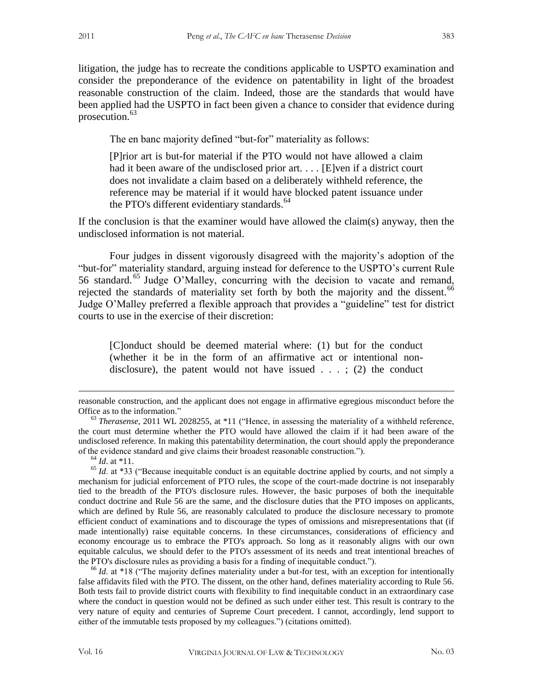litigation, the judge has to recreate the conditions applicable to USPTO examination and consider the preponderance of the evidence on patentability in light of the broadest reasonable construction of the claim. Indeed, those are the standards that would have been applied had the USPTO in fact been given a chance to consider that evidence during prosecution.<sup>63</sup>

The en banc majority defined "but-for" materiality as follows:

[P]rior art is but-for material if the PTO would not have allowed a claim had it been aware of the undisclosed prior art. . . . [E]ven if a district court does not invalidate a claim based on a deliberately withheld reference, the reference may be material if it would have blocked patent issuance under the PTO's different evidentiary standards. $64$ 

If the conclusion is that the examiner would have allowed the claim(s) anyway, then the undisclosed information is not material.

Four judges in dissent vigorously disagreed with the majority's adoption of the "but-for" materiality standard, arguing instead for deference to the USPTO's current Rule 56 standard. <sup>65</sup> Judge O'Malley, concurring with the decision to vacate and remand, rejected the standards of materiality set forth by both the majority and the dissent.<sup>66</sup> Judge O'Malley preferred a flexible approach that provides a "guideline" test for district courts to use in the exercise of their discretion:

[C]onduct should be deemed material where: (1) but for the conduct (whether it be in the form of an affirmative act or intentional nondisclosure), the patent would not have issued  $\ldots$ ; (2) the conduct

 $^{64}$  *Id.* at \*11.

 $\overline{a}$ 

<sup>65</sup> *Id.* at \*33 ("Because inequitable conduct is an equitable doctrine applied by courts, and not simply a mechanism for judicial enforcement of PTO rules, the scope of the court-made doctrine is not inseparably tied to the breadth of the PTO's disclosure rules. However, the basic purposes of both the inequitable conduct doctrine and Rule 56 are the same, and the disclosure duties that the PTO imposes on applicants, which are defined by Rule 56, are reasonably calculated to produce the disclosure necessary to promote efficient conduct of examinations and to discourage the types of omissions and misrepresentations that (if made intentionally) raise equitable concerns. In these circumstances, considerations of efficiency and economy encourage us to embrace the PTO's approach. So long as it reasonably aligns with our own equitable calculus, we should defer to the PTO's assessment of its needs and treat intentional breaches of the PTO's disclosure rules as providing a basis for a finding of inequitable conduct.").

<sup>66</sup> *Id.* at \*18 ("The majority defines materiality under a but-for test, with an exception for intentionally false affidavits filed with the PTO. The dissent, on the other hand, defines materiality according to Rule 56. Both tests fail to provide district courts with flexibility to find inequitable conduct in an extraordinary case where the conduct in question would not be defined as such under either test. This result is contrary to the very nature of equity and centuries of Supreme Court precedent. I cannot, accordingly, lend support to either of the immutable tests proposed by my colleagues.") (citations omitted).

reasonable construction, and the applicant does not engage in affirmative egregious misconduct before the Office as to the information."

<sup>63</sup> *Therasense,* 2011 WL 2028255, at \*11 ("Hence, in assessing the materiality of a withheld reference, the court must determine whether the PTO would have allowed the claim if it had been aware of the undisclosed reference. In making this patentability determination, the court should apply the preponderance of the evidence standard and give claims their broadest reasonable construction.").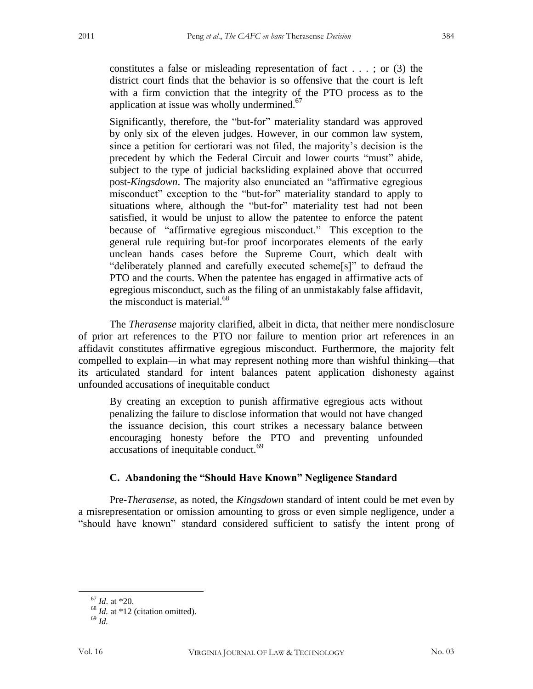constitutes a false or misleading representation of fact . . . ; or (3) the district court finds that the behavior is so offensive that the court is left with a firm conviction that the integrity of the PTO process as to the application at issue was wholly undermined.<sup>67</sup>

Significantly, therefore, the "but-for" materiality standard was approved by only six of the eleven judges. However, in our common law system, since a petition for certiorari was not filed, the majority's decision is the precedent by which the Federal Circuit and lower courts "must" abide, subject to the type of judicial backsliding explained above that occurred post-*Kingsdown*. The majority also enunciated an "affirmative egregious misconduct" exception to the "but-for" materiality standard to apply to situations where, although the "but-for" materiality test had not been satisfied, it would be unjust to allow the patentee to enforce the patent because of "affirmative egregious misconduct." This exception to the general rule requiring but-for proof incorporates elements of the early unclean hands cases before the Supreme Court, which dealt with "deliberately planned and carefully executed scheme[s]" to defraud the PTO and the courts. When the patentee has engaged in affirmative acts of egregious misconduct, such as the filing of an unmistakably false affidavit, the misconduct is material. $^{68}$ 

The *Therasense* majority clarified, albeit in dicta, that neither mere nondisclosure of prior art references to the PTO nor failure to mention prior art references in an affidavit constitutes affirmative egregious misconduct. Furthermore, the majority felt compelled to explain—in what may represent nothing more than wishful thinking—that its articulated standard for intent balances patent application dishonesty against unfounded accusations of inequitable conduct

By creating an exception to punish affirmative egregious acts without penalizing the failure to disclose information that would not have changed the issuance decision, this court strikes a necessary balance between encouraging honesty before the PTO and preventing unfounded accusations of inequitable conduct.<sup>69</sup>

#### **C. Abandoning the "Should Have Known" Negligence Standard**

Pre-*Therasense*, as noted, the *Kingsdown* standard of intent could be met even by a misrepresentation or omission amounting to gross or even simple negligence, under a "should have known" standard considered sufficient to satisfy the intent prong of

<sup>67</sup> *Id*. at \*20.

<sup>&</sup>lt;sup>68</sup> *Id.* at \*12 (citation omitted).

<sup>69</sup> *Id.*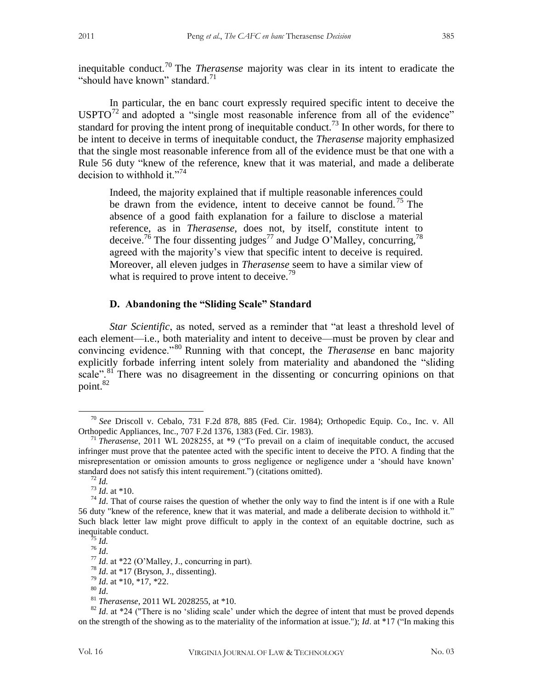inequitable conduct.<sup>70</sup> The *Therasense* majority was clear in its intent to eradicate the "should have known" standard. $71$ 

In particular, the en banc court expressly required specific intent to deceive the  $USPTO<sup>72</sup>$  and adopted a "single most reasonable inference from all of the evidence" standard for proving the intent prong of inequitable conduct.<sup>73</sup> In other words, for there to be intent to deceive in terms of inequitable conduct, the *Therasense* majority emphasized that the single most reasonable inference from all of the evidence must be that one with a Rule 56 duty "knew of the reference, knew that it was material, and made a deliberate decision to withhold it."<sup>74</sup>

Indeed, the majority explained that if multiple reasonable inferences could be drawn from the evidence, intent to deceive cannot be found.<sup>75</sup> The absence of a good faith explanation for a failure to disclose a material reference, as in *Therasense*, does not, by itself, constitute intent to deceive.<sup>76</sup> The four dissenting judges<sup>77</sup> and Judge O'Malley, concurring,<sup>78</sup> agreed with the majority's view that specific intent to deceive is required. Moreover, all eleven judges in *Therasense* seem to have a similar view of what is required to prove intent to deceive.<sup>79</sup>

#### **D. Abandoning the "Sliding Scale" Standard**

*Star Scientific*, as noted, served as a reminder that "at least a threshold level of each element—i.e., both materiality and intent to deceive—must be proven by clear and convincing evidence."<sup>80</sup> Running with that concept, the *Therasense* en banc majority explicitly forbade inferring intent solely from materiality and abandoned the "sliding scale".<sup>81</sup> There was no disagreement in the dissenting or concurring opinions on that point.<sup>82</sup>

<sup>70</sup> *See* Driscoll v. Cebalo, 731 F.2d 878, 885 (Fed. Cir. 1984); Orthopedic Equip. Co., Inc. v. All Orthopedic Appliances, Inc., 707 F.2d 1376, 1383 (Fed. Cir. 1983).

<sup>71</sup> *Therasense*, 2011 WL 2028255, at \*9 ("To prevail on a claim of inequitable conduct, the accused infringer must prove that the patentee acted with the specific intent to deceive the PTO. A finding that the misrepresentation or omission amounts to gross negligence or negligence under a 'should have known' standard does not satisfy this intent requirement.") (citations omitted).

<sup>72</sup> *Id.* 

 $^{73}$  *Id.* at \*10.

<sup>&</sup>lt;sup>74</sup> *Id*. That of course raises the question of whether the only way to find the intent is if one with a Rule 56 duty "knew of the reference, knew that it was material, and made a deliberate decision to withhold it." Such black letter law might prove difficult to apply in the context of an equitable doctrine, such as inequitable conduct.

 $^{75}$  *Id.* <sup>76</sup> *Id*.

<sup>77</sup> *Id*. at \*22 (O'Malley, J., concurring in part).

<sup>78</sup> *Id*. at \*17 (Bryson, J., dissenting).

<sup>79</sup> *Id*. at \*10, \*17, \*22.

<sup>80</sup> *Id*.

<sup>81</sup> *Therasense*, 2011 WL 2028255, at \*10.

 $82$  *Id.* at  $*24$  ("There is no 'sliding scale' under which the degree of intent that must be proved depends on the strength of the showing as to the materiality of the information at issue."); *Id*. at \*17 ("In making this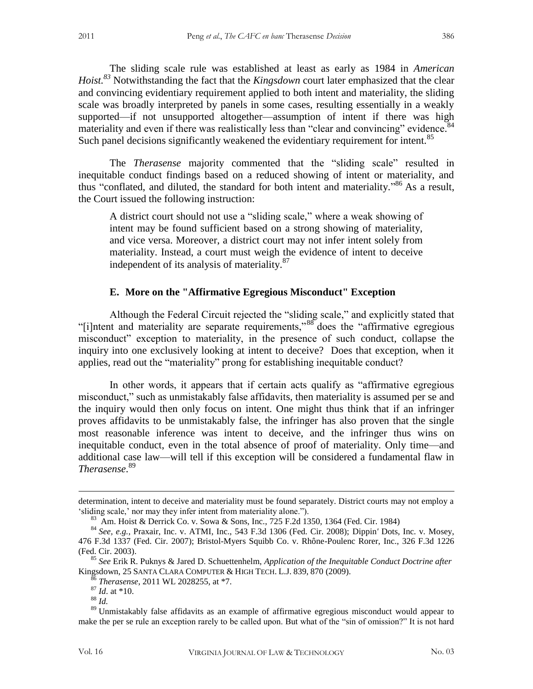The sliding scale rule was established at least as early as 1984 in *American Hoist.<sup>83</sup>* Notwithstanding the fact that the *Kingsdown* court later emphasized that the clear and convincing evidentiary requirement applied to both intent and materiality, the sliding scale was broadly interpreted by panels in some cases, resulting essentially in a weakly supported—if not unsupported altogether—assumption of intent if there was high materiality and even if there was realistically less than "clear and convincing" evidence.<sup>84</sup> Such panel decisions significantly weakened the evidentiary requirement for intent.<sup>85</sup>

The *Therasense* majority commented that the "sliding scale" resulted in inequitable conduct findings based on a reduced showing of intent or materiality, and thus "conflated, and diluted, the standard for both intent and materiality." <sup>86</sup> As a result, the Court issued the following instruction:

A district court should not use a "sliding scale," where a weak showing of intent may be found sufficient based on a strong showing of materiality, and vice versa. Moreover, a district court may not infer intent solely from materiality. Instead, a court must weigh the evidence of intent to deceive independent of its analysis of materiality.<sup>87</sup>

#### **E. More on the "Affirmative Egregious Misconduct" Exception**

Although the Federal Circuit rejected the "sliding scale," and explicitly stated that "[i]ntent and materiality are separate requirements,"<sup>88</sup> does the "affirmative egregious misconduct" exception to materiality, in the presence of such conduct, collapse the inquiry into one exclusively looking at intent to deceive? Does that exception, when it applies, read out the "materiality" prong for establishing inequitable conduct?

In other words, it appears that if certain acts qualify as "affirmative egregious misconduct," such as unmistakably false affidavits, then materiality is assumed per se and the inquiry would then only focus on intent. One might thus think that if an infringer proves affidavits to be unmistakably false, the infringer has also proven that the single most reasonable inference was intent to deceive, and the infringer thus wins on inequitable conduct, even in the total absence of proof of materiality. Only time—and additional case law—will tell if this exception will be considered a fundamental flaw in *Therasense*. 89

determination, intent to deceive and materiality must be found separately. District courts may not employ a 'sliding scale,' nor may they infer intent from materiality alone.").

<sup>83</sup> Am. Hoist & Derrick Co. v. Sowa & Sons, Inc., 725 F.2d 1350, 1364 (Fed. Cir. 1984)

<sup>84</sup> *See, e.g.*, Praxair, Inc. v. ATMI, Inc., 543 F.3d 1306 (Fed. Cir. 2008); Dippin*'* Dots*,* Inc*.* v*.* Mosey, 476 F.3d 1337 (Fed. Cir. 2007); Bristol-Myers Squibb Co. v. Rhône-Poulenc Rorer, Inc., 326 F.3d 1226 (Fed. Cir. 2003).

<sup>85</sup> *See* Erik R. Puknys & Jared D. Schuettenhelm, *Application of the Inequitable Conduct Doctrine after*  Kingsdown, 25 SANTA CLARA COMPUTER & HIGH TECH. L.J. 839, 870 (2009).

<sup>86</sup> *Therasense*, 2011 WL 2028255, at \*7.

<sup>87</sup> *Id*. at \*10.

<sup>88</sup> *Id.*

<sup>&</sup>lt;sup>89</sup> Unmistakably false affidavits as an example of affirmative egregious misconduct would appear to make the per se rule an exception rarely to be called upon. But what of the "sin of omission?" It is not hard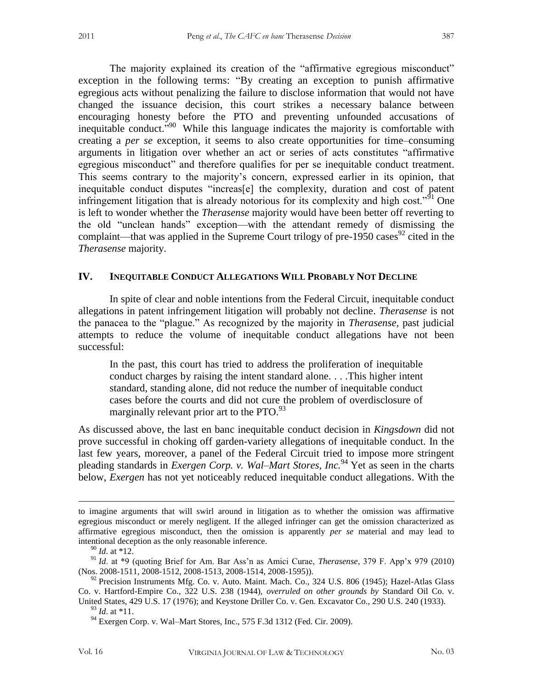The majority explained its creation of the "affirmative egregious misconduct" exception in the following terms: "By creating an exception to punish affirmative egregious acts without penalizing the failure to disclose information that would not have changed the issuance decision, this court strikes a necessary balance between encouraging honesty before the PTO and preventing unfounded accusations of inequitable conduct."<sup>90</sup> While this language indicates the majority is comfortable with creating a *per se* exception, it seems to also create opportunities for time–consuming arguments in litigation over whether an act or series of acts constitutes "affirmative egregious misconduct" and therefore qualifies for per se inequitable conduct treatment. This seems contrary to the majority's concern, expressed earlier in its opinion, that inequitable conduct disputes "increas[e] the complexity, duration and cost of patent infringement litigation that is already notorious for its complexity and high cost."<sup>91</sup> One is left to wonder whether the *Therasense* majority would have been better off reverting to the old "unclean hands" exception—with the attendant remedy of dismissing the complaint—that was applied in the Supreme Court trilogy of pre-1950 cases<sup>92</sup> cited in the *Therasense* majority.

#### **IV. INEQUITABLE CONDUCT ALLEGATIONS WILL PROBABLY NOT DECLINE**

In spite of clear and noble intentions from the Federal Circuit, inequitable conduct allegations in patent infringement litigation will probably not decline. *Therasense* is not the panacea to the "plague." As recognized by the majority in *Therasense,* past judicial attempts to reduce the volume of inequitable conduct allegations have not been successful:

In the past, this court has tried to address the proliferation of inequitable conduct charges by raising the intent standard alone. . . .This higher intent standard, standing alone, did not reduce the number of inequitable conduct cases before the courts and did not cure the problem of overdisclosure of marginally relevant prior art to the  $\text{PTO.}^{93}$ 

As discussed above, the last en banc inequitable conduct decision in *Kingsdown* did not prove successful in choking off garden-variety allegations of inequitable conduct. In the last few years, moreover, a panel of the Federal Circuit tried to impose more stringent pleading standards in *Exergen Corp. v. Wal–Mart Stores, Inc.*<sup>94</sup> Yet as seen in the charts below, *Exergen* has not yet noticeably reduced inequitable conduct allegations. With the

to imagine arguments that will swirl around in litigation as to whether the omission was affirmative egregious misconduct or merely negligent. If the alleged infringer can get the omission characterized as affirmative egregious misconduct, then the omission is apparently *per se* material and may lead to intentional deception as the only reasonable inference.

<sup>90</sup> *Id*. at \*12.

<sup>91</sup> *Id*. at \*9 (quoting Brief for Am. Bar Ass'n as Amici Curae, *Therasense*, 379 F. App'x 979 (2010) (Nos. 2008-1511, 2008-1512, 2008-1513, 2008-1514, 2008-1595)).

 $92$  Precision Instruments Mfg. Co. v. Auto. Maint. Mach. Co., 324 U.S. 806 (1945); Hazel-Atlas Glass Co. v. Hartford-Empire Co., 322 U.S. 238 (1944), *overruled on other grounds by* Standard Oil Co. v.

United States, 429 U.S. 17 (1976); and Keystone Driller Co. v. Gen. Excavator Co., 290 U.S. 240 (1933). <sup>93</sup> *Id*. at \*11.

 $94$  Exergen Corp. v. Wal–Mart Stores, Inc., 575 F.3d 1312 (Fed. Cir. 2009).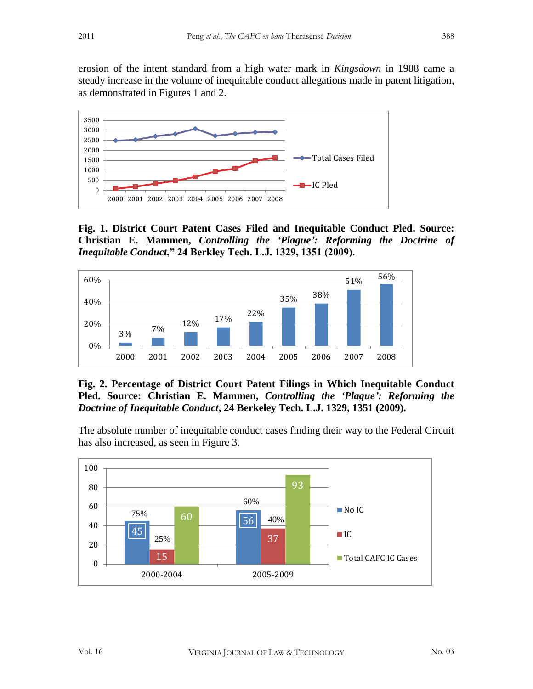erosion of the intent standard from a high water mark in *Kingsdown* in 1988 came a steady increase in the volume of inequitable conduct allegations made in patent litigation, as demonstrated in Figures 1 and 2.



**Fig. 1. District Court Patent Cases Filed and Inequitable Conduct Pled. Source: Christian E. Mammen,** *Controlling the 'Plague': Reforming the Doctrine of Inequitable Conduct***," 24 Berkley Tech. L.J. 1329, 1351 (2009).**



**Fig. 2. Percentage of District Court Patent Filings in Which Inequitable Conduct Pled. Source: Christian E. Mammen,** *Controlling the 'Plague': Reforming the Doctrine of Inequitable Conduct***, 24 Berkeley Tech. L.J. 1329, 1351 (2009).**

The absolute number of inequitable conduct cases finding their way to the Federal Circuit has also increased, as seen in Figure 3.

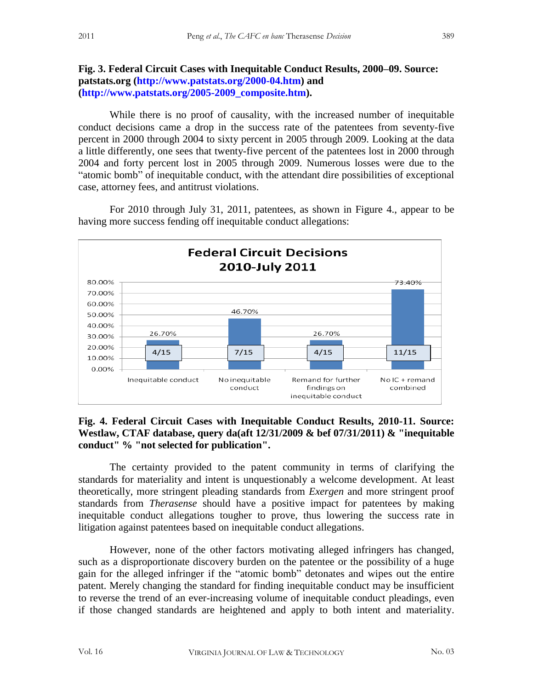### **Fig. 3. Federal Circuit Cases with Inequitable Conduct Results, 2000–09. Source: patstats.org (http://www.patstats.org/2000-04.htm) and (http://www.patstats.org/2005-2009\_composite.htm).**

While there is no proof of causality, with the increased number of inequitable conduct decisions came a drop in the success rate of the patentees from seventy-five percent in 2000 through 2004 to sixty percent in 2005 through 2009. Looking at the data a little differently, one sees that twenty-five percent of the patentees lost in 2000 through 2004 and forty percent lost in 2005 through 2009. Numerous losses were due to the "atomic bomb" of inequitable conduct, with the attendant dire possibilities of exceptional case, attorney fees, and antitrust violations.

For 2010 through July 31, 2011, patentees, as shown in Figure 4., appear to be having more success fending off inequitable conduct allegations:



### **Fig. 4. Federal Circuit Cases with Inequitable Conduct Results, 2010-11. Source: Westlaw, CTAF database, query da(aft 12/31/2009 & bef 07/31/2011) & "inequitable conduct" % "not selected for publication".**

The certainty provided to the patent community in terms of clarifying the standards for materiality and intent is unquestionably a welcome development. At least theoretically, more stringent pleading standards from *Exergen* and more stringent proof standards from *Therasense* should have a positive impact for patentees by making inequitable conduct allegations tougher to prove, thus lowering the success rate in litigation against patentees based on inequitable conduct allegations.

However, none of the other factors motivating alleged infringers has changed, such as a disproportionate discovery burden on the patentee or the possibility of a huge gain for the alleged infringer if the "atomic bomb" detonates and wipes out the entire patent. Merely changing the standard for finding inequitable conduct may be insufficient to reverse the trend of an ever-increasing volume of inequitable conduct pleadings, even if those changed standards are heightened and apply to both intent and materiality.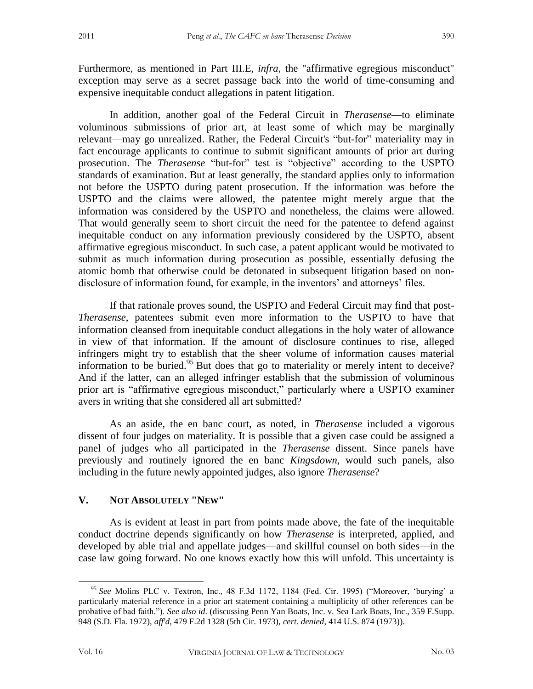Furthermore, as mentioned in Part III.E, *infra*, the "affirmative egregious misconduct" exception may serve as a secret passage back into the world of time-consuming and expensive inequitable conduct allegations in patent litigation.

In addition, another goal of the Federal Circuit in *Therasense*—to eliminate voluminous submissions of prior art, at least some of which may be marginally relevant—may go unrealized. Rather, the Federal Circuit's "but-for" materiality may in fact encourage applicants to continue to submit significant amounts of prior art during prosecution. The *Therasense* "but-for" test is "objective" according to the USPTO standards of examination. But at least generally, the standard applies only to information not before the USPTO during patent prosecution. If the information was before the USPTO and the claims were allowed, the patentee might merely argue that the information was considered by the USPTO and nonetheless, the claims were allowed. That would generally seem to short circuit the need for the patentee to defend against inequitable conduct on any information previously considered by the USPTO, absent affirmative egregious misconduct. In such case, a patent applicant would be motivated to submit as much information during prosecution as possible, essentially defusing the atomic bomb that otherwise could be detonated in subsequent litigation based on nondisclosure of information found, for example, in the inventors' and attorneys' files.

If that rationale proves sound, the USPTO and Federal Circuit may find that post-*Therasense*, patentees submit even more information to the USPTO to have that information cleansed from inequitable conduct allegations in the holy water of allowance in view of that information. If the amount of disclosure continues to rise, alleged infringers might try to establish that the sheer volume of information causes material information to be buried.<sup>95</sup> But does that go to materiality or merely intent to deceive? And if the latter, can an alleged infringer establish that the submission of voluminous prior art is "affirmative egregious misconduct," particularly where a USPTO examiner avers in writing that she considered all art submitted?

As an aside, the en banc court, as noted, in *Therasense* included a vigorous dissent of four judges on materiality. It is possible that a given case could be assigned a panel of judges who all participated in the *Therasense* dissent. Since panels have previously and routinely ignored the en banc *Kingsdown*, would such panels, also including in the future newly appointed judges, also ignore *Therasense*?

#### **V. NOT ABSOLUTELY "NEW"**

As is evident at least in part from points made above, the fate of the inequitable conduct doctrine depends significantly on how *Therasense* is interpreted, applied, and developed by able trial and appellate judges—and skillful counsel on both sides—in the case law going forward. No one knows exactly how this will unfold. This uncertainty is

<sup>95</sup> *See* Molins PLC v. Textron, Inc., 48 F.3d 1172, 1184 (Fed. Cir. 1995) ("Moreover, 'burying' a particularly material reference in a prior art statement containing a multiplicity of other references can be probative of bad faith."). *See also id*. (discussing Penn Yan Boats, Inc. v. Sea Lark Boats, Inc., 359 F.Supp. 948 (S.D. Fla. 1972), *aff'd*, 479 F.2d 1328 (5th Cir. 1973), *cert. denied*, 414 U.S. 874 (1973)).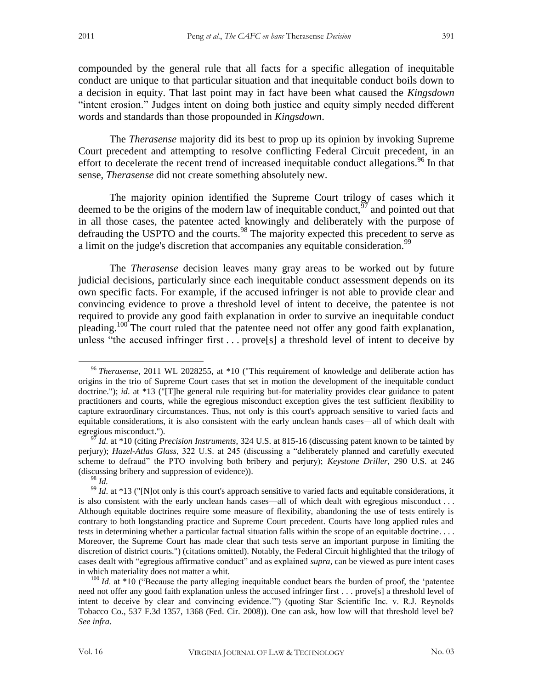compounded by the general rule that all facts for a specific allegation of inequitable conduct are unique to that particular situation and that inequitable conduct boils down to a decision in equity. That last point may in fact have been what caused the *Kingsdown* "intent erosion." Judges intent on doing both justice and equity simply needed different words and standards than those propounded in *Kingsdown*.

The *Therasense* majority did its best to prop up its opinion by invoking Supreme Court precedent and attempting to resolve conflicting Federal Circuit precedent, in an effort to decelerate the recent trend of increased inequitable conduct allegations.<sup>96</sup> In that sense, *Therasense* did not create something absolutely new.

The majority opinion identified the Supreme Court trilogy of cases which it deemed to be the origins of the modern law of inequitable conduct,  $\frac{97}{7}$  and pointed out that in all those cases, the patentee acted knowingly and deliberately with the purpose of defrauding the USPTO and the courts.<sup>98</sup> The majority expected this precedent to serve as a limit on the judge's discretion that accompanies any equitable consideration.<sup>99</sup>

The *Therasense* decision leaves many gray areas to be worked out by future judicial decisions, particularly since each inequitable conduct assessment depends on its own specific facts. For example, if the accused infringer is not able to provide clear and convincing evidence to prove a threshold level of intent to deceive, the patentee is not required to provide any good faith explanation in order to survive an inequitable conduct pleading.<sup>100</sup> The court ruled that the patentee need not offer any good faith explanation, unless "the accused infringer first  $\ldots$  prove<sup>[5]</sup> a threshold level of intent to deceive by

<sup>96</sup> *Therasense*, 2011 WL 2028255, at \*10 ("This requirement of knowledge and deliberate action has origins in the trio of Supreme Court cases that set in motion the development of the inequitable conduct doctrine."); *id.* at \*13 ("[T]he general rule requiring but-for materiality provides clear guidance to patent practitioners and courts, while the egregious misconduct exception gives the test sufficient flexibility to capture extraordinary circumstances. Thus, not only is this court's approach sensitive to varied facts and equitable considerations, it is also consistent with the early unclean hands cases—all of which dealt with egregious misconduct.").

*Id.* at \*10 (citing *Precision Instruments*, 324 U.S. at 815-16 (discussing patent known to be tainted by perjury); *Hazel-Atlas Glass*, 322 U.S. at 245 (discussing a "deliberately planned and carefully executed scheme to defraud" the PTO involving both bribery and perjury); *Keystone Driller*, 290 U.S. at 246 (discussing bribery and suppression of evidence)).

<sup>98</sup> *Id.*

<sup>&</sup>lt;sup>99</sup> *Id*. at \*13 ("[N]ot only is this court's approach sensitive to varied facts and equitable considerations, it is also consistent with the early unclean hands cases—all of which dealt with egregious misconduct . . . Although equitable doctrines require some measure of flexibility, abandoning the use of tests entirely is contrary to both longstanding practice and Supreme Court precedent. Courts have long applied rules and tests in determining whether a particular factual situation falls within the scope of an equitable doctrine. . . . Moreover, the Supreme Court has made clear that such tests serve an important purpose in limiting the discretion of district courts.") (citations omitted). Notably, the Federal Circuit highlighted that the trilogy of cases dealt with "egregious affirmative conduct" and as explained *supra*, can be viewed as pure intent cases in which materiality does not matter a whit.

<sup>&</sup>lt;sup>100</sup> *Id.* at \*10 ("Because the party alleging inequitable conduct bears the burden of proof, the 'patentee need not offer any good faith explanation unless the accused infringer first . . . prove[s] a threshold level of intent to deceive by clear and convincing evidence.'") (quoting Star Scientific Inc. v. R.J. Reynolds Tobacco Co., 537 F.3d 1357, 1368 (Fed. Cir. 2008)). One can ask, how low will that threshold level be? *See infra*.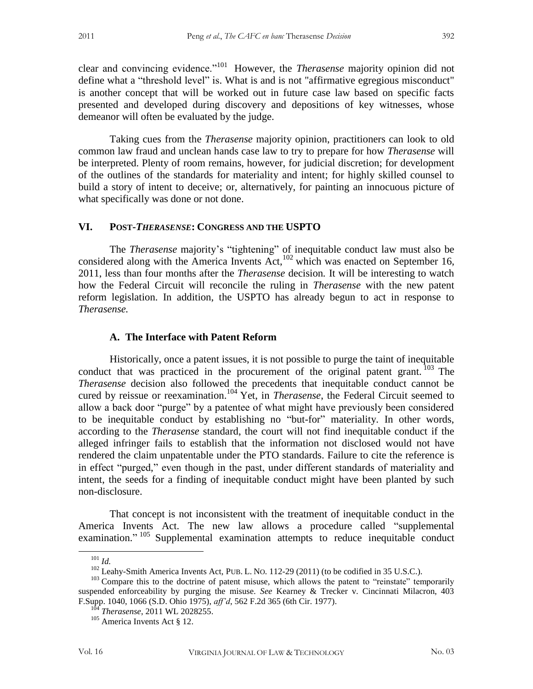clear and convincing evidence."<sup>101</sup> However, the *Therasense* majority opinion did not define what a "threshold level" is. What is and is not "affirmative egregious misconduct" is another concept that will be worked out in future case law based on specific facts presented and developed during discovery and depositions of key witnesses, whose demeanor will often be evaluated by the judge.

Taking cues from the *Therasense* majority opinion, practitioners can look to old common law fraud and unclean hands case law to try to prepare for how *Therasense* will be interpreted. Plenty of room remains, however, for judicial discretion; for development of the outlines of the standards for materiality and intent; for highly skilled counsel to build a story of intent to deceive; or, alternatively, for painting an innocuous picture of what specifically was done or not done.

# **VI. POST-***THERASENSE***: CONGRESS AND THE USPTO**

The *Therasense* majority's "tightening" of inequitable conduct law must also be considered along with the America Invents Act,<sup>102</sup> which was enacted on September 16, 2011, less than four months after the *Therasense* decision*.* It will be interesting to watch how the Federal Circuit will reconcile the ruling in *Therasense* with the new patent reform legislation. In addition, the USPTO has already begun to act in response to *Therasense.* 

#### **A. The Interface with Patent Reform**

Historically, once a patent issues, it is not possible to purge the taint of inequitable conduct that was practiced in the procurement of the original patent grant.  $103$  The *Therasense* decision also followed the precedents that inequitable conduct cannot be cured by reissue or reexamination.<sup>104</sup> Yet, in *Therasense*, the Federal Circuit seemed to allow a back door "purge" by a patentee of what might have previously been considered to be inequitable conduct by establishing no "but-for" materiality. In other words, according to the *Therasense* standard, the court will not find inequitable conduct if the alleged infringer fails to establish that the information not disclosed would not have rendered the claim unpatentable under the PTO standards. Failure to cite the reference is in effect "purged," even though in the past, under different standards of materiality and intent, the seeds for a finding of inequitable conduct might have been planted by such non-disclosure.

That concept is not inconsistent with the treatment of inequitable conduct in the America Invents Act. The new law allows a procedure called "supplemental examination."<sup>105</sup> Supplemental examination attempts to reduce inequitable conduct

 $101$  *Id.* 

<sup>&</sup>lt;sup>102</sup> Leahy-Smith America Invents Act, PUB. L. No. 112-29 (2011) (to be codified in 35 U.S.C.).

<sup>&</sup>lt;sup>103</sup> Compare this to the doctrine of patent misuse, which allows the patent to "reinstate" temporarily suspended enforceability by purging the misuse. *See* Kearney & Trecker v. Cincinnati Milacron, 403 F.Supp. 1040, 1066 (S.D. Ohio 1975), *aff'd*, 562 F.2d 365 (6th Cir. 1977).

<sup>104</sup> *Therasense*, 2011 WL 2028255.

<sup>&</sup>lt;sup>105</sup> America Invents Act § 12.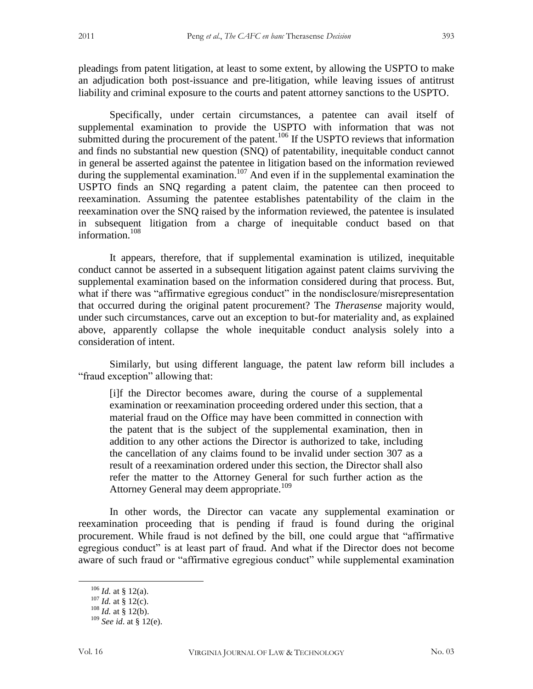pleadings from patent litigation, at least to some extent, by allowing the USPTO to make an adjudication both post-issuance and pre-litigation, while leaving issues of antitrust liability and criminal exposure to the courts and patent attorney sanctions to the USPTO.

Specifically, under certain circumstances, a patentee can avail itself of supplemental examination to provide the USPTO with information that was not submitted during the procurement of the patent.<sup>106</sup> If the USPTO reviews that information and finds no substantial new question (SNQ) of patentability, inequitable conduct cannot in general be asserted against the patentee in litigation based on the information reviewed during the supplemental examination.<sup>107</sup> And even if in the supplemental examination the USPTO finds an SNQ regarding a patent claim, the patentee can then proceed to reexamination. Assuming the patentee establishes patentability of the claim in the reexamination over the SNQ raised by the information reviewed, the patentee is insulated in subsequent litigation from a charge of inequitable conduct based on that information.<sup>108</sup>

It appears, therefore, that if supplemental examination is utilized, inequitable conduct cannot be asserted in a subsequent litigation against patent claims surviving the supplemental examination based on the information considered during that process. But, what if there was "affirmative egregious conduct" in the nondisclosure/misrepresentation that occurred during the original patent procurement? The *Therasense* majority would, under such circumstances, carve out an exception to but-for materiality and, as explained above, apparently collapse the whole inequitable conduct analysis solely into a consideration of intent.

Similarly, but using different language, the patent law reform bill includes a "fraud exception" allowing that:

[i]f the Director becomes aware, during the course of a supplemental examination or reexamination proceeding ordered under this section, that a material fraud on the Office may have been committed in connection with the patent that is the subject of the supplemental examination, then in addition to any other actions the Director is authorized to take, including the cancellation of any claims found to be invalid under section 307 as a result of a reexamination ordered under this section, the Director shall also refer the matter to the Attorney General for such further action as the Attorney General may deem appropriate.<sup>109</sup>

In other words, the Director can vacate any supplemental examination or reexamination proceeding that is pending if fraud is found during the original procurement. While fraud is not defined by the bill, one could argue that "affirmative egregious conduct" is at least part of fraud. And what if the Director does not become aware of such fraud or "affirmative egregious conduct" while supplemental examination

 $106$  *Id.* at § 12(a).

 $107$  *Id.* at § 12(c).

<sup>108</sup> *Id.* at § 12(b).

<sup>109</sup> *See id*. at § 12(e).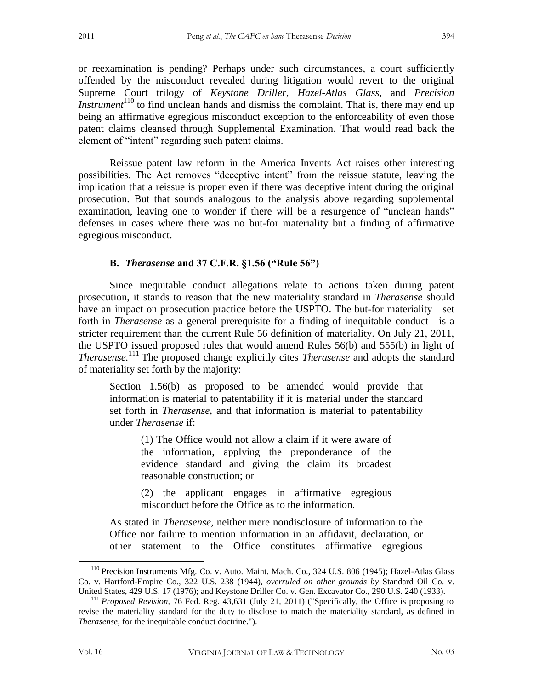or reexamination is pending? Perhaps under such circumstances, a court sufficiently offended by the misconduct revealed during litigation would revert to the original Supreme Court trilogy of *Keystone Driller*, *Hazel-Atlas Glass*, and *Precision Instrument*<sup>110</sup> to find unclean hands and dismiss the complaint. That is, there may end up being an affirmative egregious misconduct exception to the enforceability of even those patent claims cleansed through Supplemental Examination. That would read back the element of "intent" regarding such patent claims.

Reissue patent law reform in the America Invents Act raises other interesting possibilities. The Act removes "deceptive intent" from the reissue statute, leaving the implication that a reissue is proper even if there was deceptive intent during the original prosecution. But that sounds analogous to the analysis above regarding supplemental examination, leaving one to wonder if there will be a resurgence of "unclean hands" defenses in cases where there was no but-for materiality but a finding of affirmative egregious misconduct.

#### **B.** *Therasense* **and 37 C.F.R. §1.56 ("Rule 56")**

Since inequitable conduct allegations relate to actions taken during patent prosecution, it stands to reason that the new materiality standard in *Therasense* should have an impact on prosecution practice before the USPTO. The but-for materiality—set forth in *Therasense* as a general prerequisite for a finding of inequitable conduct—is a stricter requirement than the current Rule 56 definition of materiality. On July 21, 2011, the USPTO issued proposed rules that would amend Rules 56(b) and 555(b) in light of *Therasense.*<sup>111</sup> The proposed change explicitly cites *Therasense* and adopts the standard of materiality set forth by the majority:

Section 1.56(b) as proposed to be amended would provide that information is material to patentability if it is material under the standard set forth in *Therasense*, and that information is material to patentability under *Therasense* if:

(1) The Office would not allow a claim if it were aware of the information, applying the preponderance of the evidence standard and giving the claim its broadest reasonable construction; or

(2) the applicant engages in affirmative egregious misconduct before the Office as to the information.

As stated in *Therasense*, neither mere nondisclosure of information to the Office nor failure to mention information in an affidavit, declaration, or other statement to the Office constitutes affirmative egregious

<sup>110</sup> Precision Instruments Mfg. Co. v. Auto. Maint. Mach. Co., 324 U.S. 806 (1945); Hazel-Atlas Glass Co. v. Hartford-Empire Co., 322 U.S. 238 (1944), *overruled on other grounds by* Standard Oil Co. v. United States, 429 U.S. 17 (1976); and Keystone Driller Co. v. Gen. Excavator Co., 290 U.S. 240 (1933).

<sup>111</sup> *Proposed Revision,* 76 Fed. Reg. 43,631 (July 21, 2011) ("Specifically, the Office is proposing to revise the materiality standard for the duty to disclose to match the materiality standard, as defined in *Therasense*, for the inequitable conduct doctrine.").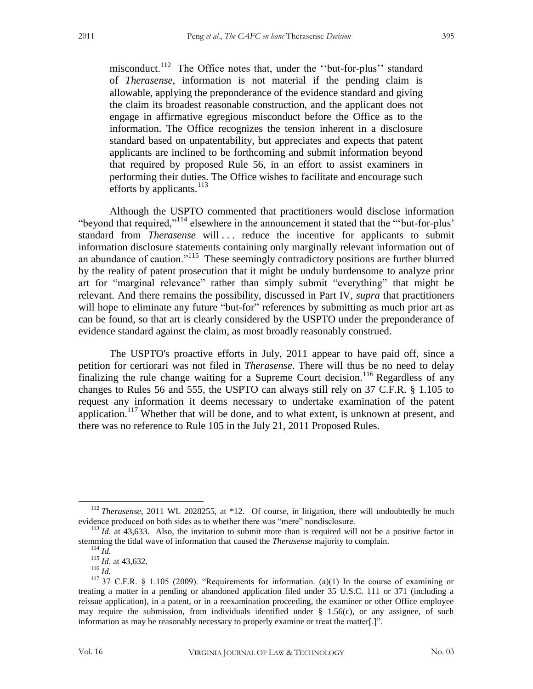misconduct.<sup>112</sup> The Office notes that, under the "but-for-plus" standard of *Therasense*, information is not material if the pending claim is allowable, applying the preponderance of the evidence standard and giving the claim its broadest reasonable construction, and the applicant does not engage in affirmative egregious misconduct before the Office as to the information. The Office recognizes the tension inherent in a disclosure standard based on unpatentability, but appreciates and expects that patent applicants are inclined to be forthcoming and submit information beyond that required by proposed Rule 56, in an effort to assist examiners in performing their duties. The Office wishes to facilitate and encourage such efforts by applicants. $^{113}$ 

Although the USPTO commented that practitioners would disclose information "beyond that required,"<sup>114</sup> elsewhere in the announcement it stated that the "'but-for-plus' standard from *Therasense* will ... reduce the incentive for applicants to submit information disclosure statements containing only marginally relevant information out of an abundance of caution."<sup>115</sup> These seemingly contradictory positions are further blurred by the reality of patent prosecution that it might be unduly burdensome to analyze prior art for "marginal relevance" rather than simply submit "everything" that might be relevant. And there remains the possibility, discussed in Part IV, *supra* that practitioners will hope to eliminate any future "but-for" references by submitting as much prior art as can be found, so that art is clearly considered by the USPTO under the preponderance of evidence standard against the claim, as most broadly reasonably construed.

The USPTO's proactive efforts in July, 2011 appear to have paid off, since a petition for certiorari was not filed in *Therasense*. There will thus be no need to delay finalizing the rule change waiting for a Supreme Court decision.<sup>116</sup> Regardless of any changes to Rules 56 and 555, the USPTO can always still rely on 37 C.F.R. § 1.105 to request any information it deems necessary to undertake examination of the patent application.<sup>117</sup> Whether that will be done, and to what extent, is unknown at present, and there was no reference to Rule 105 in the July 21, 2011 Proposed Rules.

<sup>&</sup>lt;sup>112</sup> *Therasense*, 2011 WL 2028255, at \*12. Of course, in litigation, there will undoubtedly be much evidence produced on both sides as to whether there was "mere" nondisclosure.

 $113$  *Id.* at 43,633. Also, the invitation to submit more than is required will not be a positive factor in stemming the tidal wave of information that caused the *Therasense* majority to complain.

<sup>114</sup> *Id.*

<sup>115</sup> *Id*. at 43,632. <sup>116</sup> *Id.*

<sup>117</sup> 37 C.F.R. § 1.105 (2009). "Requirements for information. (a)(1) In the course of examining or treating a matter in a pending or abandoned application filed under 35 U.S.C. 111 or 371 (including a reissue application), in a patent, or in a reexamination proceeding, the examiner or other Office employee may require the submission, from individuals identified under  $\S$  1.56(c), or any assignee, of such information as may be reasonably necessary to properly examine or treat the matter[.]".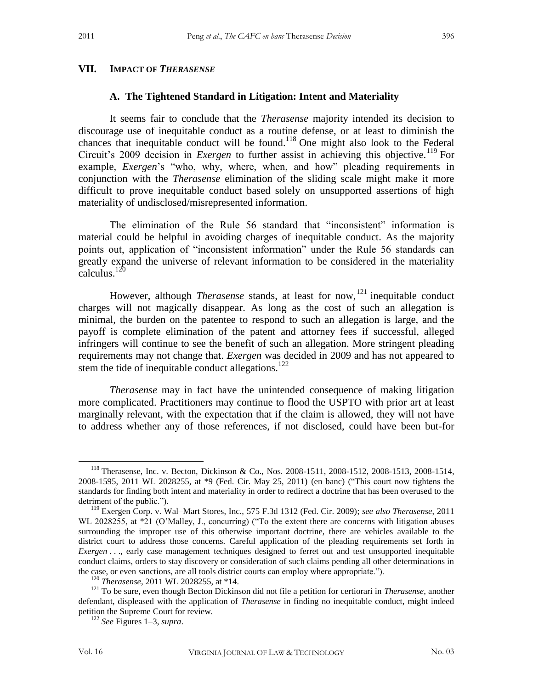#### **VII. IMPACT OF** *THERASENSE*

#### **A. The Tightened Standard in Litigation: Intent and Materiality**

It seems fair to conclude that the *Therasense* majority intended its decision to discourage use of inequitable conduct as a routine defense, or at least to diminish the chances that inequitable conduct will be found. <sup>118</sup> One might also look to the Federal Circuit's 2009 decision in *Exergen* to further assist in achieving this objective.<sup>119</sup> For example, *Exergen*'s "who, why, where, when, and how" pleading requirements in conjunction with the *Therasense* elimination of the sliding scale might make it more difficult to prove inequitable conduct based solely on unsupported assertions of high materiality of undisclosed/misrepresented information.

The elimination of the Rule 56 standard that "inconsistent" information is material could be helpful in avoiding charges of inequitable conduct. As the majority points out, application of "inconsistent information" under the Rule 56 standards can greatly expand the universe of relevant information to be considered in the materiality calculus.<sup>120</sup>

However, although *Therasense* stands, at least for now, <sup>121</sup> inequitable conduct charges will not magically disappear. As long as the cost of such an allegation is minimal, the burden on the patentee to respond to such an allegation is large, and the payoff is complete elimination of the patent and attorney fees if successful, alleged infringers will continue to see the benefit of such an allegation. More stringent pleading requirements may not change that. *Exergen* was decided in 2009 and has not appeared to stem the tide of inequitable conduct allegations. $122$ 

*Therasense* may in fact have the unintended consequence of making litigation more complicated. Practitioners may continue to flood the USPTO with prior art at least marginally relevant, with the expectation that if the claim is allowed, they will not have to address whether any of those references, if not disclosed, could have been but-for

<sup>118</sup> Therasense, Inc. v. Becton, Dickinson & Co., Nos. 2008-1511, 2008-1512, 2008-1513, 2008-1514, 2008-1595, 2011 WL 2028255, at \*9 (Fed. Cir. May 25, 2011) (en banc) ("This court now tightens the standards for finding both intent and materiality in order to redirect a doctrine that has been overused to the detriment of the public.").

<sup>119</sup> Exergen Corp. v. Wal–Mart Stores, Inc., 575 F.3d 1312 (Fed. Cir. 2009); *see also Therasense*, 2011 WL 2028255, at  $*21$  (O'Malley, J., concurring) ("To the extent there are concerns with litigation abuses surrounding the improper use of this otherwise important doctrine, there are vehicles available to the district court to address those concerns. Careful application of the pleading requirements set forth in *Exergen* . . ., early case management techniques designed to ferret out and test unsupported inequitable conduct claims, orders to stay discovery or consideration of such claims pending all other determinations in the case, or even sanctions, are all tools district courts can employ where appropriate.").

<sup>120</sup> *Therasense*, 2011 WL 2028255, at \*14.

<sup>121</sup> To be sure, even though Becton Dickinson did not file a petition for certiorari in *Therasense*, another defendant, displeased with the application of *Therasense* in finding no inequitable conduct, might indeed petition the Supreme Court for review.

<sup>122</sup> *See* Figures 1–3, *supra*.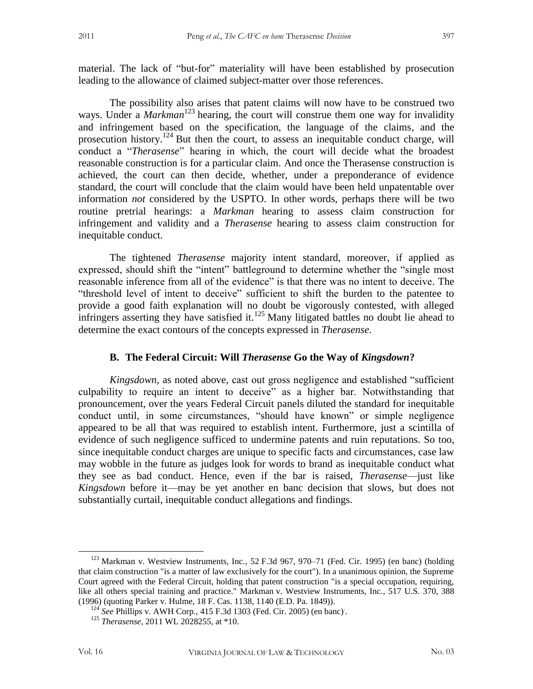The possibility also arises that patent claims will now have to be construed two ways. Under a *Markman*<sup>123</sup> hearing, the court will construe them one way for invalidity and infringement based on the specification, the language of the claims, and the prosecution history.<sup>124</sup> But then the court, to assess an inequitable conduct charge, will conduct a "*Therasense*" hearing in which, the court will decide what the broadest reasonable construction is for a particular claim. And once the Therasense construction is achieved, the court can then decide, whether, under a preponderance of evidence standard, the court will conclude that the claim would have been held unpatentable over information *not* considered by the USPTO. In other words, perhaps there will be two routine pretrial hearings: a *Markman* hearing to assess claim construction for infringement and validity and a *Therasense* hearing to assess claim construction for inequitable conduct.

The tightened *Therasense* majority intent standard, moreover, if applied as expressed, should shift the "intent" battleground to determine whether the "single most reasonable inference from all of the evidence" is that there was no intent to deceive. The "threshold level of intent to deceive" sufficient to shift the burden to the patentee to provide a good faith explanation will no doubt be vigorously contested, with alleged infringers asserting they have satisfied it.<sup>125</sup> Many litigated battles no doubt lie ahead to determine the exact contours of the concepts expressed in *Therasense*.

### **B. The Federal Circuit: Will** *Therasense* **Go the Way of** *Kingsdown***?**

*Kingsdown,* as noted above*,* cast out gross negligence and established "sufficient culpability to require an intent to deceive" as a higher bar. Notwithstanding that pronouncement, over the years Federal Circuit panels diluted the standard for inequitable conduct until, in some circumstances, "should have known" or simple negligence appeared to be all that was required to establish intent. Furthermore, just a scintilla of evidence of such negligence sufficed to undermine patents and ruin reputations. So too, since inequitable conduct charges are unique to specific facts and circumstances, case law may wobble in the future as judges look for words to brand as inequitable conduct what they see as bad conduct. Hence, even if the bar is raised, *Therasense*—just like *Kingsdown* before it—may be yet another en banc decision that slows, but does not substantially curtail, inequitable conduct allegations and findings.

 $\overline{a}$ <sup>123</sup> Markman v. Westview Instruments, Inc., 52 F.3d 967, 970–71 (Fed. Cir. 1995) (en banc) (holding that claim construction "is a matter of law exclusively for the court"). In a unanimous opinion, the Supreme Court agreed with the Federal Circuit, holding that patent construction "is a special occupation, requiring, like all others special training and practice." Markman v. Westview Instruments, Inc., 517 U.S. 370, 388 (1996) (quoting Parker v. Hulme, 18 F. Cas. 1138, 1140 (E.D. Pa. 1849)).

<sup>124</sup> *See* Phillips v*.* AWH Corp*.,* 415 F.3d 1303 (Fed. Cir. 2005) (en banc). .

<sup>125</sup> *Therasense*, 2011 WL 2028255, at \*10*.*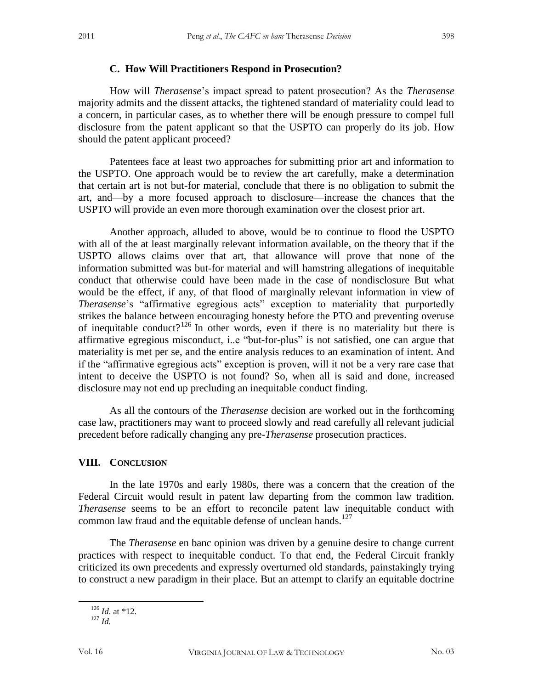#### **C. How Will Practitioners Respond in Prosecution?**

How will *Therasense*'s impact spread to patent prosecution? As the *Therasense* majority admits and the dissent attacks, the tightened standard of materiality could lead to a concern, in particular cases, as to whether there will be enough pressure to compel full disclosure from the patent applicant so that the USPTO can properly do its job. How should the patent applicant proceed?

Patentees face at least two approaches for submitting prior art and information to the USPTO. One approach would be to review the art carefully, make a determination that certain art is not but-for material, conclude that there is no obligation to submit the art, and—by a more focused approach to disclosure—increase the chances that the USPTO will provide an even more thorough examination over the closest prior art.

Another approach, alluded to above, would be to continue to flood the USPTO with all of the at least marginally relevant information available, on the theory that if the USPTO allows claims over that art, that allowance will prove that none of the information submitted was but-for material and will hamstring allegations of inequitable conduct that otherwise could have been made in the case of nondisclosure But what would be the effect, if any, of that flood of marginally relevant information in view of *Therasense*'s "affirmative egregious acts" exception to materiality that purportedly strikes the balance between encouraging honesty before the PTO and preventing overuse of inequitable conduct?<sup>126</sup> In other words, even if there is no materiality but there is affirmative egregious misconduct, i..e "but-for-plus" is not satisfied, one can argue that materiality is met per se, and the entire analysis reduces to an examination of intent. And if the "affirmative egregious acts" exception is proven, will it not be a very rare case that intent to deceive the USPTO is not found? So, when all is said and done, increased disclosure may not end up precluding an inequitable conduct finding.

As all the contours of the *Therasense* decision are worked out in the forthcoming case law, practitioners may want to proceed slowly and read carefully all relevant judicial precedent before radically changing any pre-*Therasense* prosecution practices.

#### **VIII. CONCLUSION**

In the late 1970s and early 1980s, there was a concern that the creation of the Federal Circuit would result in patent law departing from the common law tradition. *Therasense* seems to be an effort to reconcile patent law inequitable conduct with common law fraud and the equitable defense of unclean hands.<sup>127</sup>

The *Therasense* en banc opinion was driven by a genuine desire to change current practices with respect to inequitable conduct. To that end, the Federal Circuit frankly criticized its own precedents and expressly overturned old standards, painstakingly trying to construct a new paradigm in their place. But an attempt to clarify an equitable doctrine

<sup>126</sup> *Id*. at \*12.

 $127$  *Id.*